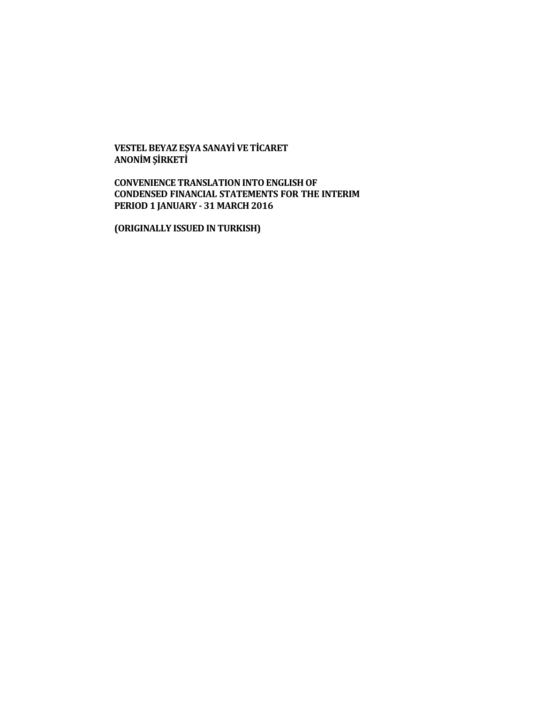**VESTEL BEYAZ EŞYA SANAYİ VE TİCARET ANONİM ŞİRKETİ**

**CONVENIENCE TRANSLATION INTO ENGLISH OF CONDENSED FINANCIAL STATEMENTS FOR THE INTERIM PERIOD 1 JANUARY - 31 MARCH 2016**

**(ORIGINALLY ISSUED IN TURKISH)**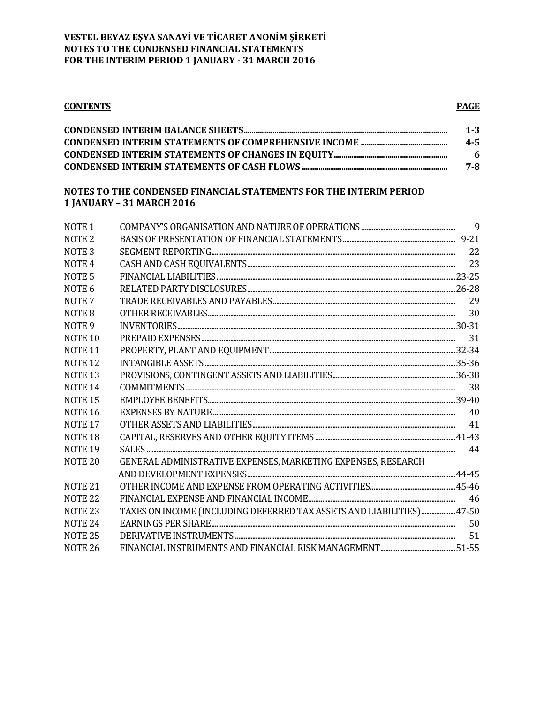# **CONTENTS**

#### **PAGE**

| $1 - 3$ |
|---------|
| $4 - 5$ |
| - 6     |
| 7-8     |

## NOTES TO THE CONDENSED FINANCIAL STATEMENTS FOR THE INTERIM PERIOD **1 JANUARY - 31 MARCH 2016**

| <b>NOTE1</b>       |                                                                       | $\mathbf{q}$ |
|--------------------|-----------------------------------------------------------------------|--------------|
| NOTE <sub>2</sub>  |                                                                       |              |
| NOTE <sub>3</sub>  |                                                                       |              |
| NOTE <sub>4</sub>  |                                                                       |              |
| NOTE <sub>5</sub>  |                                                                       |              |
| NOTE <sub>6</sub>  |                                                                       |              |
| NOTE <sub>7</sub>  |                                                                       | 29           |
| NOTE <sub>8</sub>  |                                                                       |              |
| NOTE <sub>9</sub>  |                                                                       |              |
| NOTE <sub>10</sub> |                                                                       | 31           |
| NOTE <sub>11</sub> |                                                                       |              |
| NOTE <sub>12</sub> |                                                                       |              |
| NOTE <sub>13</sub> |                                                                       |              |
| <b>NOTE 14</b>     |                                                                       | 38           |
| NOTE <sub>15</sub> |                                                                       |              |
| <b>NOTE 16</b>     |                                                                       | 40           |
| NOTE <sub>17</sub> |                                                                       |              |
| NOTE <sub>18</sub> |                                                                       |              |
| NOTE <sub>19</sub> |                                                                       |              |
| NOTE <sub>20</sub> | GENERAL ADMINISTRATIVE EXPENSES, MARKETING EXPENSES, RESEARCH         |              |
|                    |                                                                       |              |
| NOTE <sub>21</sub> |                                                                       |              |
| <b>NOTE 22</b>     |                                                                       |              |
| NOTE <sub>23</sub> | TAXES ON INCOME (INCLUDING DEFERRED TAX ASSETS AND LIABILITIES) 47-50 |              |
| NOTE <sub>24</sub> |                                                                       |              |
| NOTE <sub>25</sub> |                                                                       | 51           |
| <b>NOTE 26</b>     |                                                                       |              |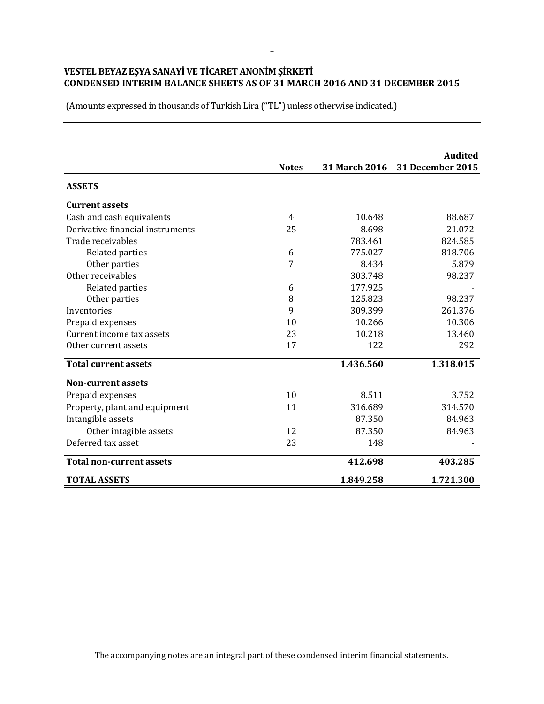### **VESTEL BEYAZ EŞYA SANAYİ VE TİCARET ANONİM ŞİRKETİ CONDENSED INTERIM BALANCE SHEETS AS OF 31 MARCH 2016 AND 31 DECEMBER 2015**

(Amounts expressed in thousands of Turkish Lira ("TL") unless otherwise indicated.)

|                                  |              |               | <b>Audited</b>   |
|----------------------------------|--------------|---------------|------------------|
|                                  | <b>Notes</b> | 31 March 2016 | 31 December 2015 |
| <b>ASSETS</b>                    |              |               |                  |
| <b>Current assets</b>            |              |               |                  |
| Cash and cash equivalents        | 4            | 10.648        | 88.687           |
| Derivative financial instruments | 25           | 8.698         | 21.072           |
| Trade receivables                |              | 783.461       | 824.585          |
| Related parties                  | 6            | 775.027       | 818.706          |
| Other parties                    | 7            | 8.434         | 5.879            |
| Other receivables                |              | 303.748       | 98.237           |
| Related parties                  | 6            | 177.925       |                  |
| Other parties                    | 8            | 125.823       | 98.237           |
| Inventories                      | 9            | 309.399       | 261.376          |
| Prepaid expenses                 | 10           | 10.266        | 10.306           |
| Current income tax assets        | 23           | 10.218        | 13.460           |
| Other current assets             | 17           | 122           | 292              |
| <b>Total current assets</b>      |              | 1.436.560     | 1.318.015        |
| <b>Non-current assets</b>        |              |               |                  |
| Prepaid expenses                 | 10           | 8.511         | 3.752            |
| Property, plant and equipment    | 11           | 316.689       | 314.570          |
| Intangible assets                |              | 87.350        | 84.963           |
| Other intagible assets           | 12           | 87.350        | 84.963           |
| Deferred tax asset               | 23           | 148           |                  |
| <b>Total non-current assets</b>  |              | 412.698       | 403.285          |
| <b>TOTAL ASSETS</b>              |              | 1.849.258     | 1.721.300        |

The accompanying notes are an integral part of these condensed interim financial statements.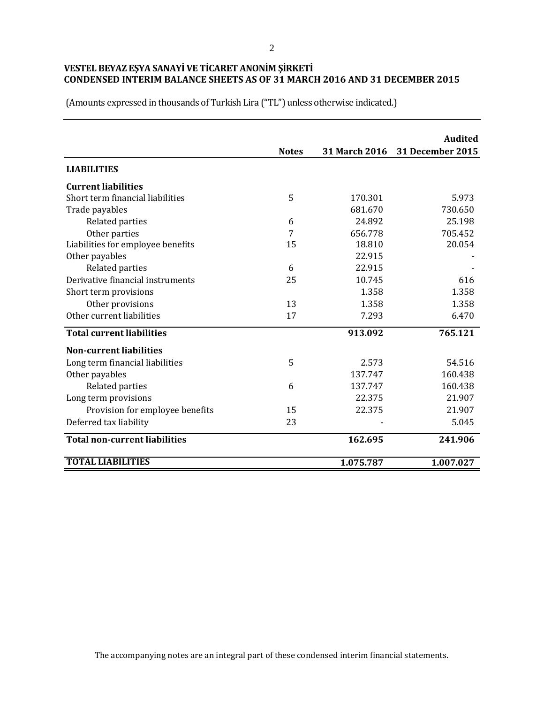## **VESTEL BEYAZ EŞYA SANAYİ VETİCARET ANONİM ŞİRKETİ CONDENSED INTERIM BALANCE SHEETS AS OF 31 MARCH 2016 AND 31 DECEMBER 2015**

(Amounts expressed in thousands of Turkish Lira ("TL") unless otherwise indicated.)

|                                      |              |                      | <b>Audited</b>          |
|--------------------------------------|--------------|----------------------|-------------------------|
|                                      | <b>Notes</b> | <b>31 March 2016</b> | <b>31 December 2015</b> |
| <b>LIABILITIES</b>                   |              |                      |                         |
| <b>Current liabilities</b>           |              |                      |                         |
| Short term financial liabilities     | 5            | 170.301              | 5.973                   |
| Trade payables                       |              | 681.670              | 730.650                 |
| Related parties                      | 6            | 24.892               | 25.198                  |
| Other parties                        | 7            | 656.778              | 705.452                 |
| Liabilities for employee benefits    | 15           | 18.810               | 20.054                  |
| Other payables                       |              | 22.915               |                         |
| Related parties                      | 6            | 22.915               |                         |
| Derivative financial instruments     | 25           | 10.745               | 616                     |
| Short term provisions                |              | 1.358                | 1.358                   |
| Other provisions                     | 13           | 1.358                | 1.358                   |
| Other current liabilities            | 17           | 7.293                | 6.470                   |
| <b>Total current liabilities</b>     |              | 913.092              | 765.121                 |
| <b>Non-current liabilities</b>       |              |                      |                         |
| Long term financial liabilities      | 5            | 2.573                | 54.516                  |
| Other payables                       |              | 137.747              | 160.438                 |
| Related parties                      | 6            | 137.747              | 160.438                 |
| Long term provisions                 |              | 22.375               | 21.907                  |
| Provision for employee benefits      | 15           | 22.375               | 21.907                  |
| Deferred tax liability               | 23           |                      | 5.045                   |
| <b>Total non-current liabilities</b> |              | 162.695              | 241.906                 |
| <b>TOTAL LIABILITIES</b>             |              | 1.075.787            | 1.007.027               |

The accompanying notes are an integral part of these condensed interim financial statements.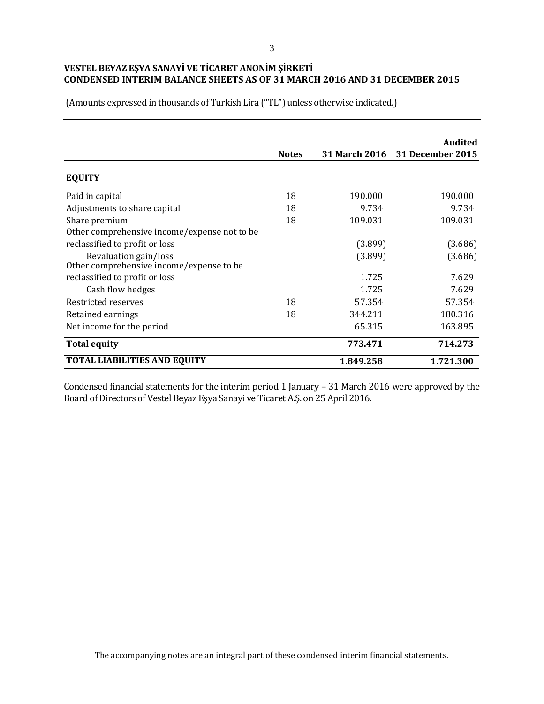## **VESTEL BEYAZ EŞYA SANAYİ VETİCARET ANONİM ŞİRKETİ CONDENSED INTERIM BALANCE SHEETS AS OF 31 MARCH 2016 AND 31 DECEMBER 2015**

(Amounts expressed in thousands of Turkish Lira ("TL") unless otherwise indicated.)

|                                                                   |              |           | Audited                        |
|-------------------------------------------------------------------|--------------|-----------|--------------------------------|
|                                                                   | <b>Notes</b> |           | 31 March 2016 31 December 2015 |
| <b>EQUITY</b>                                                     |              |           |                                |
| Paid in capital                                                   | 18           | 190.000   | 190.000                        |
| Adjustments to share capital                                      | 18           | 9.734     | 9.734                          |
| Share premium                                                     | 18           | 109.031   | 109.031                        |
| Other comprehensive income/expense not to be                      |              |           |                                |
| reclassified to profit or loss                                    |              | (3.899)   | (3.686)                        |
| Revaluation gain/loss<br>Other comprehensive income/expense to be |              | (3.899)   | (3.686)                        |
| reclassified to profit or loss                                    |              | 1.725     | 7.629                          |
| Cash flow hedges                                                  |              | 1.725     | 7.629                          |
| Restricted reserves                                               | 18           | 57.354    | 57.354                         |
| Retained earnings                                                 | 18           | 344.211   | 180.316                        |
| Net income for the period                                         |              | 65.315    | 163.895                        |
| <b>Total equity</b>                                               |              | 773.471   | 714.273                        |
| <b>TOTAL LIABILITIES AND EQUITY</b>                               |              | 1.849.258 | 1.721.300                      |

Condensed financial statements for the interim period 1 January – 31 March 2016 were approved by the Board of Directors of Vestel Beyaz Eşya Sanayi ve Ticaret A.Ş. on 25 April 2016.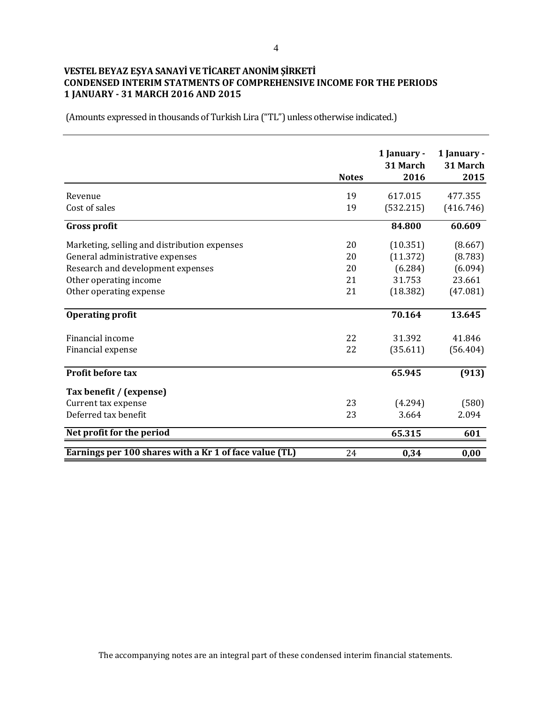## **VESTEL BEYAZ EŞYA SANAYİ VE TİCARET ANONİM ŞİRKETİ CONDENSED INTERIM STATMENTS OF COMPREHENSIVE INCOME FOR THE PERIODS 1 JANUARY - 31 MARCH 2016 AND 2015**

(Amounts expressed in thousands of Turkish Lira ("TL") unless otherwise indicated.)

|                                                        |              | 1 January -<br>31 March | 1 January -<br>31 March |
|--------------------------------------------------------|--------------|-------------------------|-------------------------|
|                                                        | <b>Notes</b> | 2016                    | 2015                    |
| Revenue                                                | 19           | 617.015                 | 477.355                 |
| Cost of sales                                          | 19           | (532.215)               | (416.746)               |
| <b>Gross profit</b>                                    |              | 84.800                  | 60.609                  |
| Marketing, selling and distribution expenses           | 20           | (10.351)                | (8.667)                 |
| General administrative expenses                        | 20           | (11.372)                | (8.783)                 |
| Research and development expenses                      | 20           | (6.284)                 | (6.094)                 |
| Other operating income                                 | 21           | 31.753                  | 23.661                  |
| Other operating expense                                | 21           | (18.382)                | (47.081)                |
| <b>Operating profit</b>                                |              | 70.164                  | 13.645                  |
| Financial income                                       | 22           | 31.392                  | 41.846                  |
| Financial expense                                      | 22           | (35.611)                | (56.404)                |
| Profit before tax                                      |              | 65.945                  | (913)                   |
| Tax benefit / (expense)                                |              |                         |                         |
| Current tax expense                                    | 23           | (4.294)                 | (580)                   |
| Deferred tax benefit                                   | 23           | 3.664                   | 2.094                   |
| Net profit for the period                              |              | 65.315                  | 601                     |
| Earnings per 100 shares with a Kr 1 of face value (TL) | 24           | 0,34                    | 0,00                    |

The accompanying notes are an integral part of these condensed interim financial statements.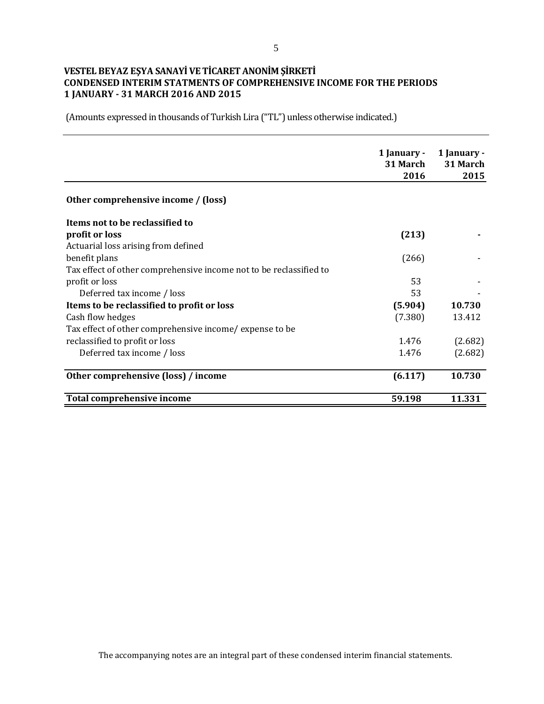## **VESTEL BEYAZ EŞYA SANAYİ VE TİCARET ANONİM ŞİRKETİ CONDENSED INTERIM STATMENTS OF COMPREHENSIVE INCOME FOR THE PERIODS 1 JANUARY - 31 MARCH 2016 AND 2015**

(Amounts expressed in thousands of Turkish Lira ("TL") unless otherwise indicated.)

|                                                                    | 1 January -<br>31 March<br>2016 | 1 January -<br>31 March<br>2015 |
|--------------------------------------------------------------------|---------------------------------|---------------------------------|
| Other comprehensive income / (loss)                                |                                 |                                 |
| Items not to be reclassified to                                    |                                 |                                 |
| profit or loss                                                     | (213)                           |                                 |
| Actuarial loss arising from defined                                |                                 |                                 |
| benefit plans                                                      | (266)                           |                                 |
| Tax effect of other comprehensive income not to be reclassified to |                                 |                                 |
| profit or loss                                                     | 53                              |                                 |
| Deferred tax income / loss                                         | 53                              |                                 |
| Items to be reclassified to profit or loss                         | (5.904)                         | 10.730                          |
| Cash flow hedges                                                   | (7.380)                         | 13.412                          |
| Tax effect of other comprehensive income/expense to be             |                                 |                                 |
| reclassified to profit or loss                                     | 1.476                           | (2.682)                         |
| Deferred tax income / loss                                         | 1.476                           | (2.682)                         |
| Other comprehensive (loss) / income                                | (6.117)                         | 10.730                          |
| Total comprehensive income                                         | 59.198                          | 11.331                          |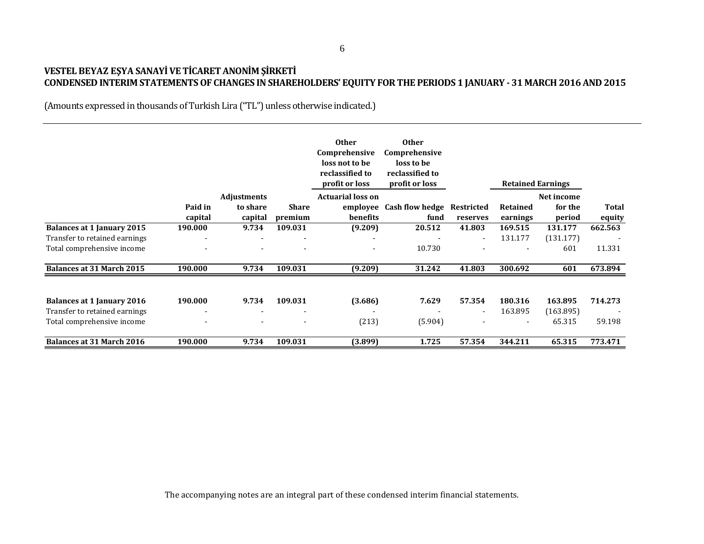## **VESTEL BEYAZ EŞYA SANAYİ VE TİCARET ANONİM ŞİRKETİ CONDENSED INTERIM STATEMENTS OF CHANGES IN SHAREHOLDERS' EQUITY FOR THE PERIODS 1 JANUARY - 31 MARCH 2016 AND 2015**

(Amounts expressed in thousands of Turkish Lira ("TL") unless otherwise indicated.)

|                                                                    |                    |                                           |                           | <b>Other</b><br>Comprehensive<br>loss not to be<br>reclassified to<br>profit or loss | <b>Other</b><br>Comprehensive<br>loss to be<br>reclassified to<br>profit or loss |                          | <b>Retained Earnings</b> |                                 |                 |
|--------------------------------------------------------------------|--------------------|-------------------------------------------|---------------------------|--------------------------------------------------------------------------------------|----------------------------------------------------------------------------------|--------------------------|--------------------------|---------------------------------|-----------------|
|                                                                    | Paid in<br>capital | <b>Adjustments</b><br>to share<br>capital | <b>Share</b><br>premium   | <b>Actuarial loss on</b><br>employee<br>benefits                                     | Cash flow hedge<br>fund                                                          | Restricted<br>reserves   | Retained<br>earnings     | Net income<br>for the<br>period | Total<br>equity |
| <b>Balances at 1 January 2015</b>                                  | 190.000            | 9.734                                     | 109.031                   | (9.209)                                                                              | 20.512                                                                           | 41.803                   | 169.515                  | 131.177                         | 662.563         |
| Transfer to retained earnings                                      |                    |                                           | $\overline{\phantom{0}}$  | $\overline{\phantom{a}}$                                                             |                                                                                  | $\overline{\phantom{a}}$ | 131.177                  | (131.177)                       |                 |
| Total comprehensive income                                         |                    |                                           |                           |                                                                                      | 10.730                                                                           |                          |                          | 601                             | 11.331          |
| <b>Balances at 31 March 2015</b>                                   | 190.000            | 9.734                                     | 109.031                   | (9.209)                                                                              | 31.242                                                                           | 41.803                   | 300.692                  | 601                             | 673.894         |
| <b>Balances at 1 January 2016</b><br>Transfer to retained earnings | 190.000            | 9.734                                     | 109.031<br>$\blacksquare$ | (3.686)                                                                              | 7.629                                                                            | 57.354<br>$\blacksquare$ | 180.316<br>163.895       | 163.895<br>(163.895)            | 714.273         |
| Total comprehensive income                                         |                    |                                           | $\blacksquare$            | (213)                                                                                | (5.904)                                                                          |                          | ۰                        | 65.315                          | 59.198          |
| <b>Balances at 31 March 2016</b>                                   | 190.000            | 9.734                                     | 109.031                   | (3.899)                                                                              | 1.725                                                                            | 57.354                   | 344.211                  | 65.315                          | 773.471         |

The accompanying notes are an integral part of these condensed interim financial statements.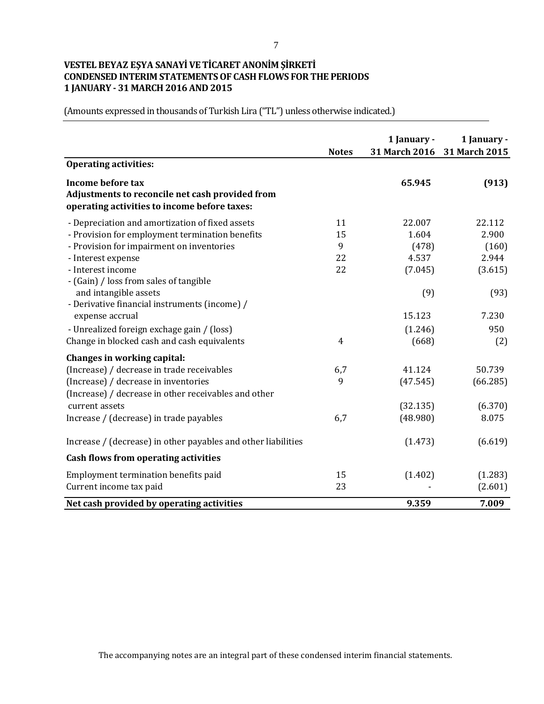## **VESTEL BEYAZ EŞYA SANAYİ VE TİCARET ANONİM ŞİRKETİ CONDENSED INTERIM STATEMENTS OF CASH FLOWS FOR THE PERIODS 1 JANUARY - 31 MARCH 2016 AND 2015**

(Amounts expressed in thousands of Turkish Lira ("TL") unless otherwise indicated.)

|                                                                                                                      | <b>Notes</b>   | 1 January -<br>31 March 2016 | 1 January -<br>31 March 2015 |
|----------------------------------------------------------------------------------------------------------------------|----------------|------------------------------|------------------------------|
| <b>Operating activities:</b>                                                                                         |                |                              |                              |
| Income before tax<br>Adjustments to reconcile net cash provided from<br>operating activities to income before taxes: |                | 65.945                       | (913)                        |
| - Depreciation and amortization of fixed assets                                                                      | 11             | 22.007                       | 22.112                       |
| - Provision for employment termination benefits                                                                      | 15             | 1.604                        | 2.900                        |
| - Provision for impairment on inventories                                                                            | 9              | (478)                        | (160)                        |
| - Interest expense                                                                                                   | 22             | 4.537                        | 2.944                        |
| - Interest income                                                                                                    | 22             | (7.045)                      | (3.615)                      |
| - (Gain) / loss from sales of tangible<br>and intangible assets<br>- Derivative financial instruments (income) /     |                | (9)                          | (93)                         |
| expense accrual                                                                                                      |                | 15.123                       | 7.230                        |
| - Unrealized foreign exchage gain / (loss)                                                                           |                | (1.246)                      | 950                          |
| Change in blocked cash and cash equivalents                                                                          | $\overline{4}$ | (668)                        | (2)                          |
| Changes in working capital:                                                                                          |                |                              |                              |
| (Increase) / decrease in trade receivables                                                                           | 6,7            | 41.124                       | 50.739                       |
| (Increase) / decrease in inventories                                                                                 | 9              | (47.545)                     | (66.285)                     |
| (Increase) / decrease in other receivables and other                                                                 |                |                              |                              |
| current assets                                                                                                       |                | (32.135)                     | (6.370)                      |
| Increase / (decrease) in trade payables                                                                              | 6,7            | (48.980)                     | 8.075                        |
| Increase / (decrease) in other payables and other liabilities                                                        |                | (1.473)                      | (6.619)                      |
| Cash flows from operating activities                                                                                 |                |                              |                              |
| Employment termination benefits paid                                                                                 | 15             | (1.402)                      | (1.283)                      |
| Current income tax paid                                                                                              | 23             |                              | (2.601)                      |
| Net cash provided by operating activities                                                                            |                | 9.359                        | 7.009                        |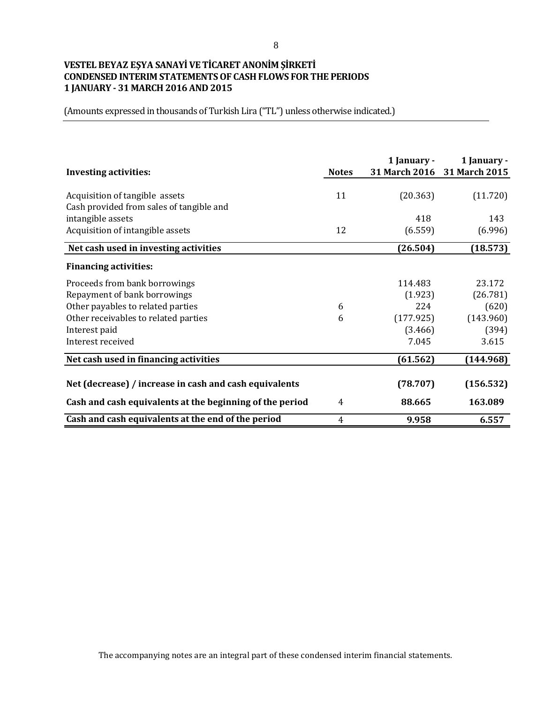## **VESTEL BEYAZ EŞYA SANAYİ VE TİCARET ANONİM ŞİRKETİ CONDENSED INTERIM STATEMENTS OF CASH FLOWS FOR THE PERIODS 1 JANUARY - 31 MARCH 2016 AND 2015**

(Amounts expressed in thousands of Turkish Lira ("TL") unless otherwise indicated.)

| <b>Investing activities:</b>                                               | <b>Notes</b>   | 1 January -<br>31 March 2016 | 1 January -<br>31 March 2015 |
|----------------------------------------------------------------------------|----------------|------------------------------|------------------------------|
| Acquisition of tangible assets<br>Cash provided from sales of tangible and | 11             | (20.363)                     | (11.720)                     |
| intangible assets                                                          |                | 418                          | 143                          |
| Acquisition of intangible assets                                           | 12             | (6.559)                      | (6.996)                      |
| Net cash used in investing activities                                      |                | (26.504)                     | (18.573)                     |
| <b>Financing activities:</b>                                               |                |                              |                              |
| Proceeds from bank borrowings                                              |                | 114.483                      | 23.172                       |
| Repayment of bank borrowings                                               |                | (1.923)                      | (26.781)                     |
| Other payables to related parties                                          | 6              | 224                          | (620)                        |
| Other receivables to related parties                                       | 6              | (177.925)                    | (143.960)                    |
| Interest paid                                                              |                | (3.466)                      | (394)                        |
| Interest received                                                          |                | 7.045                        | 3.615                        |
| Net cash used in financing activities                                      |                | (61.562)                     | (144.968)                    |
| Net (decrease) / increase in cash and cash equivalents                     |                | (78.707)                     | (156.532)                    |
| Cash and cash equivalents at the beginning of the period                   | 4              | 88.665                       | 163.089                      |
| Cash and cash equivalents at the end of the period                         | $\overline{4}$ | 9.958                        | 6.557                        |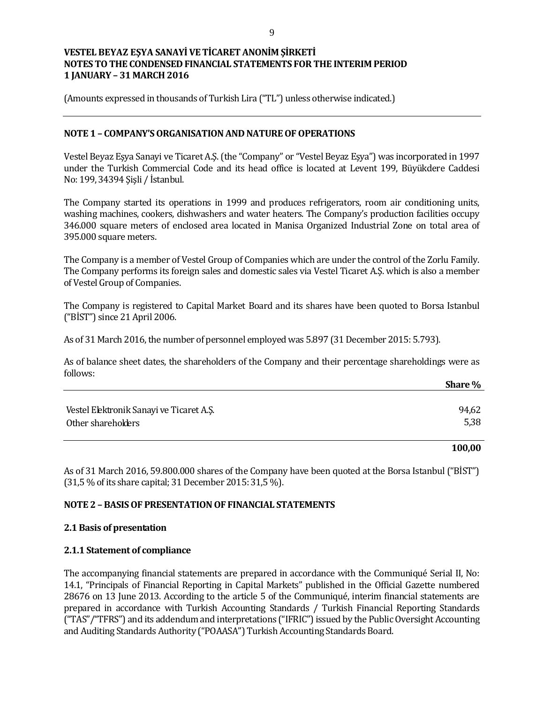(Amounts expressed in thousands of Turkish Lira ("TL") unless otherwise indicated.)

### **NOTE 1 – COMPANY'S ORGANISATION AND NATURE OF OPERATIONS**

Vestel Beyaz Eşya Sanayi ve Ticaret A.Ş. (the "Company" or "Vestel Beyaz Eşya") was incorporated in 1997 under the Turkish Commercial Code and its head office is located at Levent 199, Büyükdere Caddesi No: 199, 34394 Şişli / İstanbul.

The Company started its operations in 1999 and produces refrigerators, room air conditioning units, washing machines, cookers, dishwashers and water heaters. The Company's production facilities occupy 346.000 square meters of enclosed area located in Manisa Organized Industrial Zone on total area of 395.000 square meters.

The Company is a member of Vestel Group of Companies which are under the control of the Zorlu Family. The Company performs its foreign sales and domestic sales via Vestel Ticaret A.Ş. which is also a member of Vestel Group of Companies.

The Company is registered to Capital Market Board and its shares have been quoted to Borsa Istanbul ("BİST") since 21 April 2006.

As of 31 March 2016, the number of personnel employed was 5.897 (31 December 2015: 5.793).

As of balance sheet dates, the shareholders of the Company and their percentage shareholdings were as follows:

|                                          | Share % |
|------------------------------------------|---------|
|                                          |         |
| Vestel Elektronik Sanayi ve Ticaret A.Ş. | 94,62   |
| Other shareholders                       | 5,38    |

#### **100,00**

As of 31 March 2016, 59.800.000 shares of the Company have been quoted at the Borsa Istanbul ("BİST") (31,5 % of its share capital; 31 December 2015: 31,5 %).

### **NOTE 2 – BASIS OF PRESENTATION OF FINANCIAL STATEMENTS**

### **2.1 Basis of presentation**

### **2.1.1 Statement of compliance**

The accompanying financial statements are prepared in accordance with the Communiqué Serial II, No: 14.1, "Principals of Financial Reporting in Capital Markets" published in the Official Gazette numbered 28676 on 13 June 2013. According to the article 5 of the Communiqué, interim financial statements are prepared in accordance with Turkish Accounting Standards / Turkish Financial Reporting Standards ("TAS"/"TFRS") and its addendum and interpretations ("IFRIC") issued by the Public Oversight Accounting and Auditing Standards Authority ("POAASA") Turkish Accounting Standards Board.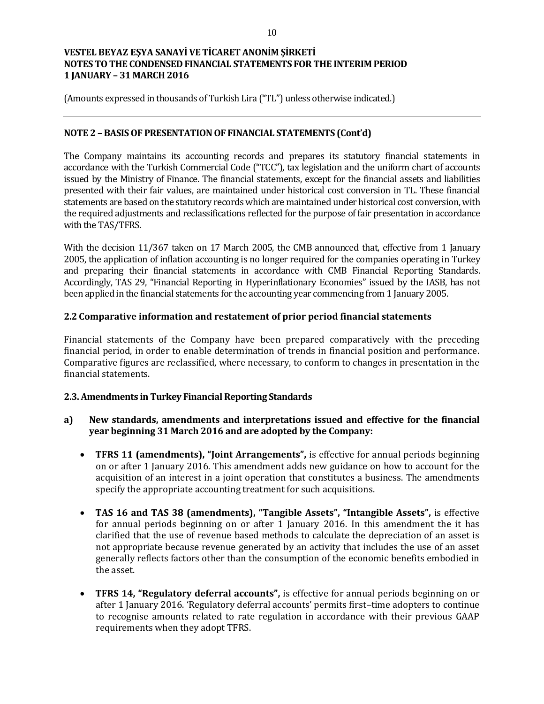(Amounts expressed in thousands of Turkish Lira ("TL") unless otherwise indicated.)

### **NOTE 2 – BASIS OF PRESENTATION OF FINANCIAL STATEMENTS (Cont'd)**

The Company maintains its accounting records and prepares its statutory financial statements in accordance with the Turkish Commercial Code ("TCC"), tax legislation and the uniform chart of accounts issued by the Ministry of Finance. The financial statements, except for the financial assets and liabilities presented with their fair values, are maintained under historical cost conversion in TL. These financial statements are based on the statutory records which are maintained under historical cost conversion, with the required adjustments and reclassifications reflected for the purpose of fair presentation in accordance with the TAS/TFRS.

With the decision 11/367 taken on 17 March 2005, the CMB announced that, effective from 1 January 2005, the application of inflation accounting is no longer required for the companies operating in Turkey and preparing their financial statements in accordance with CMB Financial Reporting Standards. Accordingly, TAS 29, "Financial Reporting in Hyperinflationary Economies" issued by the IASB, has not been applied in the financial statements for the accounting year commencing from 1 January 2005.

### **2.2 Comparative information and restatement of prior period financial statements**

Financial statements of the Company have been prepared comparatively with the preceding financial period, in order to enable determination of trends in financial position and performance. Comparative figures are reclassified, where necessary, to conform to changes in presentation in the financial statements.

### **2.3. Amendments in Turkey Financial Reporting Standards**

- **a) New standards, amendments and interpretations issued and effective for the financial year beginning 31 March 2016 and are adopted by the Company:**
	- **TFRS 11 (amendments), "Joint Arrangements",** is effective for annual periods beginning on or after 1 January 2016. This amendment adds new guidance on how to account for the acquisition of an interest in a joint operation that constitutes a business. The amendments specify the appropriate accounting treatment for such acquisitions.
	- **TAS 16 and TAS 38 (amendments), "Tangible Assets", "Intangible Assets",** is effective for annual periods beginning on or after 1 January 2016. In this amendment the it has clarified that the use of revenue based methods to calculate the depreciation of an asset is not appropriate because revenue generated by an activity that includes the use of an asset generally reflects factors other than the consumption of the economic benefits embodied in the asset.
	- **TFRS 14, "Regulatory deferral accounts",** is effective for annual periods beginning on or after 1 January 2016. 'Regulatory deferral accounts' permits first–time adopters to continue to recognise amounts related to rate regulation in accordance with their previous GAAP requirements when they adopt TFRS.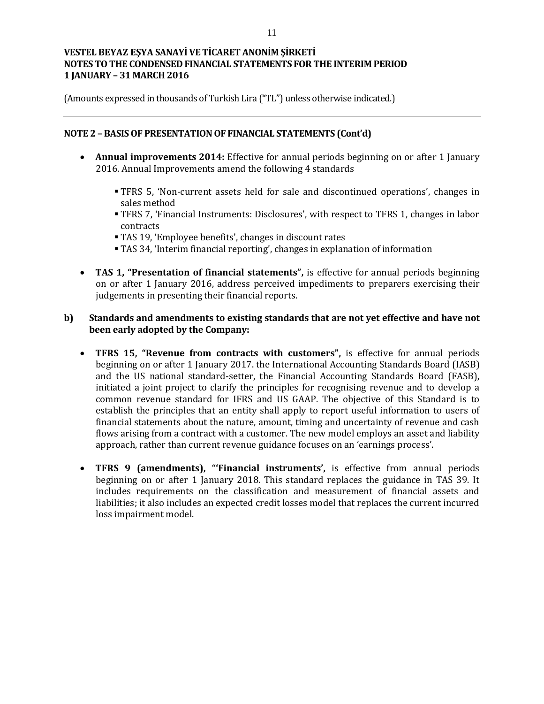(Amounts expressed in thousands of Turkish Lira ("TL") unless otherwise indicated.)

### **NOTE 2 – BASIS OF PRESENTATION OF FINANCIAL STATEMENTS (Cont'd)**

- **Annual improvements 2014:** Effective for annual periods beginning on or after 1 January 2016. Annual Improvements amend the following 4 standards
	- TFRS 5, 'Non-current assets held for sale and discontinued operations', changes in sales method
	- TFRS 7, 'Financial Instruments: Disclosures', with respect to TFRS 1, changes in labor contracts
	- TAS 19, 'Employee benefits', changes in discount rates
	- TAS 34, 'Interim financial reporting', changes in explanation of information
- **TAS 1, "Presentation of financial statements",** is effective for annual periods beginning on or after 1 January 2016, address perceived impediments to preparers exercising their judgements in presenting their financial reports.

### **b) Standards and amendments to existing standards that are not yet effective and have not been early adopted by the Company:**

- **TFRS 15, "Revenue from contracts with customers",** is effective for annual periods beginning on or after 1 January 2017. the International Accounting Standards Board (IASB) and the US national standard-setter, the Financial Accounting Standards Board (FASB), initiated a joint project to clarify the principles for recognising revenue and to develop a common revenue standard for IFRS and US GAAP. The objective of this Standard is to establish the principles that an entity shall apply to report useful information to users of financial statements about the nature, amount, timing and uncertainty of revenue and cash flows arising from a contract with a customer. The new model employs an asset and liability approach, rather than current revenue guidance focuses on an 'earnings process'.
- **TFRS 9 (amendments), "'Financial instruments',** is effective from annual periods beginning on or after 1 January 2018. This standard replaces the guidance in TAS 39. It includes requirements on the classification and measurement of financial assets and liabilities; it also includes an expected credit losses model that replaces the current incurred loss impairment model.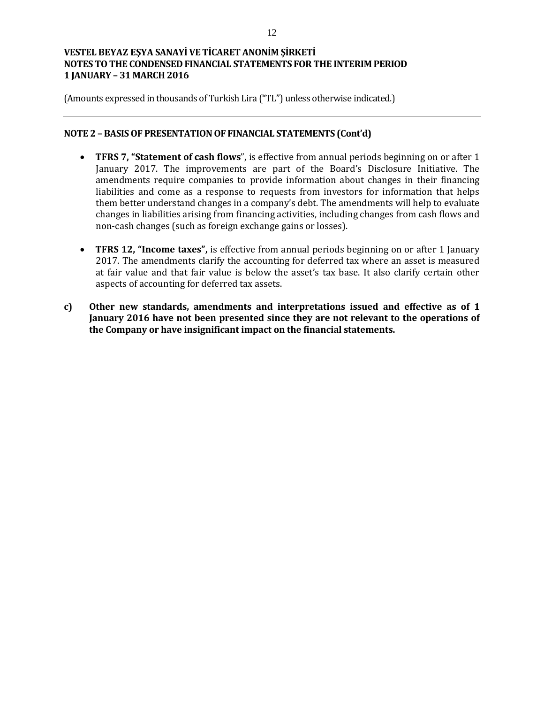(Amounts expressed in thousands of Turkish Lira ("TL") unless otherwise indicated.)

### **NOTE 2 – BASIS OF PRESENTATION OF FINANCIAL STATEMENTS (Cont'd)**

- **TFRS 7, "Statement of cash flows**", is effective from annual periods beginning on or after 1 January 2017. The improvements are part of the Board's Disclosure Initiative. The amendments require companies to provide information about changes in their financing liabilities and come as a response to requests from investors for information that helps them better understand changes in a company's debt. The amendments will help to evaluate changes in liabilities arising from financing activities, including changes from cash flows and non-cash changes (such as foreign exchange gains or losses).
- **TFRS 12, "Income taxes",** is effective from annual periods beginning on or after 1 January 2017. The amendments clarify the accounting for deferred tax where an asset is measured at fair value and that fair value is below the asset's tax base. It also clarify certain other aspects of accounting for deferred tax assets.
- **c) Other new standards, amendments and interpretations issued and effective as of 1 January 2016 have not been presented since they are not relevant to the operations of the Company or have insignificant impact on the financial statements.**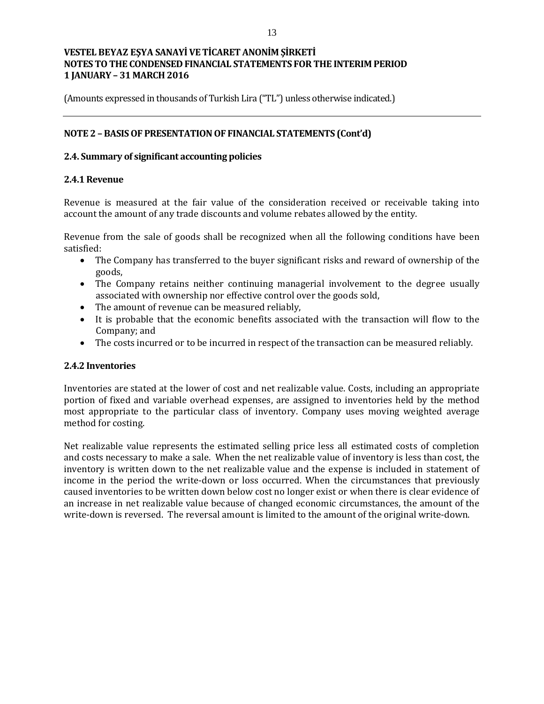(Amounts expressed in thousands of Turkish Lira ("TL") unless otherwise indicated.)

### **NOTE 2 – BASIS OF PRESENTATION OF FINANCIAL STATEMENTS (Cont'd)**

### **2.4. Summary of significant accounting policies**

### **2.4.1 Revenue**

Revenue is measured at the fair value of the consideration received or receivable taking into account the amount of any trade discounts and volume rebates allowed by the entity.

Revenue from the sale of goods shall be recognized when all the following conditions have been satisfied:

- The Company has transferred to the buyer significant risks and reward of ownership of the goods,
- The Company retains neither continuing managerial involvement to the degree usually associated with ownership nor effective control over the goods sold,
- The amount of revenue can be measured reliably,
- It is probable that the economic benefits associated with the transaction will flow to the Company; and
- The costs incurred or to be incurred in respect of the transaction can be measured reliably.

### **2.4.2 Inventories**

Inventories are stated at the lower of cost and net realizable value. Costs, including an appropriate portion of fixed and variable overhead expenses, are assigned to inventories held by the method most appropriate to the particular class of inventory. Company uses moving weighted average method for costing.

Net realizable value represents the estimated selling price less all estimated costs of completion and costs necessary to make a sale. When the net realizable value of inventory is less than cost, the inventory is written down to the net realizable value and the expense is included in statement of income in the period the write-down or loss occurred. When the circumstances that previously caused inventories to be written down below cost no longer exist or when there is clear evidence of an increase in net realizable value because of changed economic circumstances, the amount of the write-down is reversed. The reversal amount is limited to the amount of the original write-down.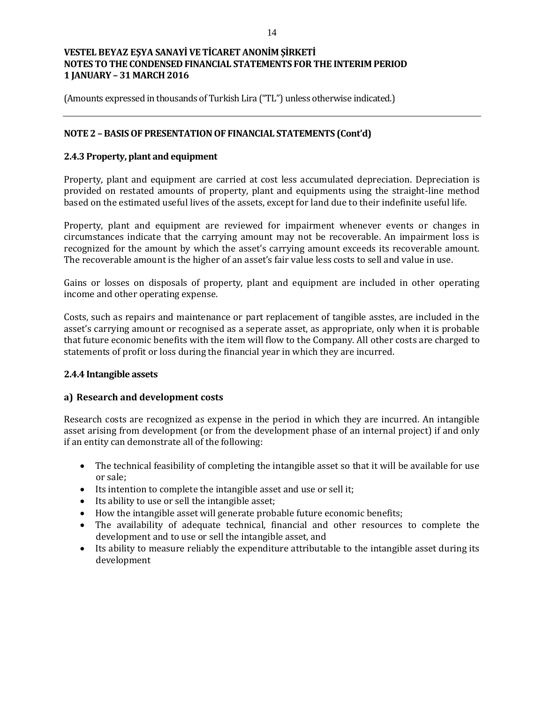(Amounts expressed in thousands of Turkish Lira ("TL") unless otherwise indicated.)

### **NOTE 2 – BASIS OF PRESENTATION OF FINANCIAL STATEMENTS (Cont'd)**

### **2.4.3 Property, plant and equipment**

Property, plant and equipment are carried at cost less accumulated depreciation. Depreciation is provided on restated amounts of property, plant and equipments using the straight-line method based on the estimated useful lives of the assets, except for land due to their indefinite useful life.

Property, plant and equipment are reviewed for impairment whenever events or changes in circumstances indicate that the carrying amount may not be recoverable. An impairment loss is recognized for the amount by which the asset's carrying amount exceeds its recoverable amount. The recoverable amount is the higher of an asset's fair value less costs to sell and value in use.

Gains or losses on disposals of property, plant and equipment are included in other operating income and other operating expense.

Costs, such as repairs and maintenance or part replacement of tangible asstes, are included in the asset's carrying amount or recognised as a seperate asset, as appropriate, only when it is probable that future economic benefits with the item will flow to the Company. All other costs are charged to statements of profit or loss during the financial year in which they are incurred.

### **2.4.4 Intangible assets**

### **a) Research and development costs**

Research costs are recognized as expense in the period in which they are incurred. An intangible asset arising from development (or from the development phase of an internal project) if and only if an entity can demonstrate all of the following:

- The technical feasibility of completing the intangible asset so that it will be available for use or sale;
- Its intention to complete the intangible asset and use or sell it;
- Its ability to use or sell the intangible asset;
- How the intangible asset will generate probable future economic benefits;
- The availability of adequate technical, financial and other resources to complete the development and to use or sell the intangible asset, and
- Its ability to measure reliably the expenditure attributable to the intangible asset during its development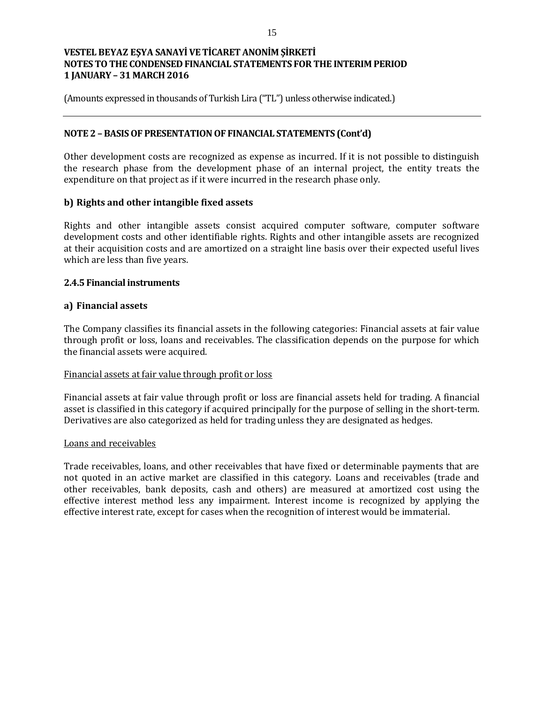(Amounts expressed in thousands of Turkish Lira ("TL") unless otherwise indicated.)

### **NOTE 2 – BASIS OF PRESENTATION OF FINANCIAL STATEMENTS (Cont'd)**

Other development costs are recognized as expense as incurred. If it is not possible to distinguish the research phase from the development phase of an internal project, the entity treats the expenditure on that project as if it were incurred in the research phase only.

### **b) Rights and other intangible fixed assets**

Rights and other intangible assets consist acquired computer software, computer software development costs and other identifiable rights. Rights and other intangible assets are recognized at their acquisition costs and are amortized on a straight line basis over their expected useful lives which are less than five years.

### **2.4.5 Financial instruments**

### **a) Financial assets**

The Company classifies its financial assets in the following categories: Financial assets at fair value through profit or loss, loans and receivables. The classification depends on the purpose for which the financial assets were acquired.

### Financial assets at fair value through profit or loss

Financial assets at fair value through profit or loss are financial assets held for trading. A financial asset is classified in this category if acquired principally for the purpose of selling in the short-term. Derivatives are also categorized as held for trading unless they are designated as hedges.

### Loans and receivables

Trade receivables, loans, and other receivables that have fixed or determinable payments that are not quoted in an active market are classified in this category. Loans and receivables (trade and other receivables, bank deposits, cash and others) are measured at amortized cost using the effective interest method less any impairment. Interest income is recognized by applying the effective interest rate, except for cases when the recognition of interest would be immaterial.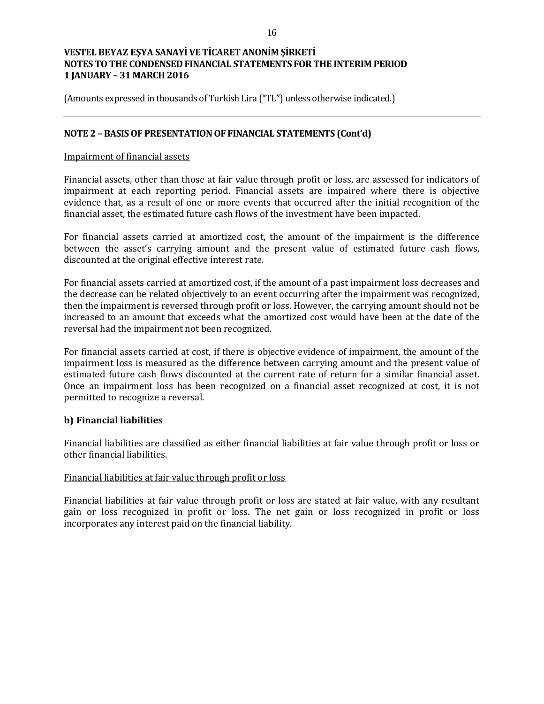(Amounts expressed in thousands of Turkish Lira ("TL") unless otherwise indicated.)

### **NOTE 2 – BASIS OF PRESENTATION OF FINANCIAL STATEMENTS (Cont'd)**

### Impairment of financial assets

Financial assets, other than those at fair value through profit or loss, are assessed for indicators of impairment at each reporting period. Financial assets are impaired where there is objective evidence that, as a result of one or more events that occurred after the initial recognition of the financial asset, the estimated future cash flows of the investment have been impacted.

For financial assets carried at amortized cost, the amount of the impairment is the difference between the asset's carrying amount and the present value of estimated future cash flows, discounted at the original effective interest rate.

For financial assets carried at amortized cost, if the amount of a past impairment loss decreases and the decrease can be related objectively to an event occurring after the impairment was recognized, then the impairment is reversed through profit or loss. However, the carrying amount should not be increased to an amount that exceeds what the amortized cost would have been at the date of the reversal had the impairment not been recognized.

For financial assets carried at cost, if there is objective evidence of impairment, the amount of the impairment loss is measured as the difference between carrying amount and the present value of estimated future cash flows discounted at the current rate of return for a similar financial asset. Once an impairment loss has been recognized on a financial asset recognized at cost, it is not permitted to recognize a reversal.

### **b) Financial liabilities**

Financial liabilities are classified as either financial liabilities at fair value through profit or loss or other financial liabilities.

### Financial liabilities at fair value through profit or loss

Financial liabilities at fair value through profit or loss are stated at fair value, with any resultant gain or loss recognized in profit or loss. The net gain or loss recognized in profit or loss incorporates any interest paid on the financial liability.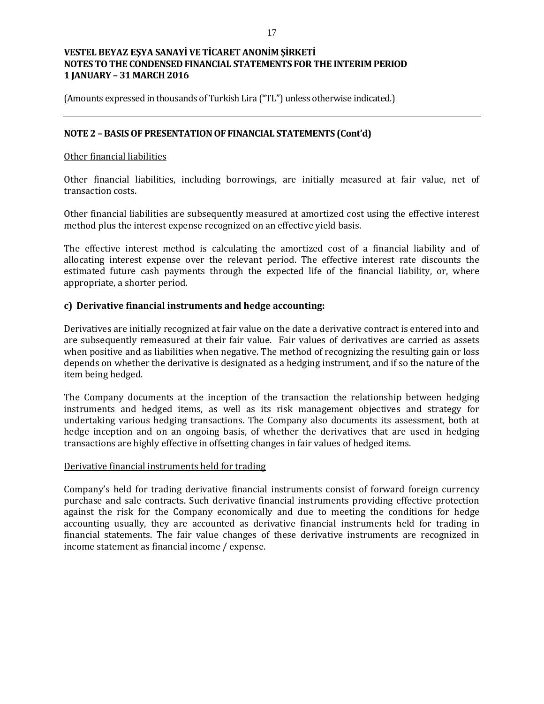(Amounts expressed in thousands of Turkish Lira ("TL") unless otherwise indicated.)

### **NOTE 2 – BASIS OF PRESENTATION OF FINANCIAL STATEMENTS (Cont'd)**

### Other financial liabilities

Other financial liabilities, including borrowings, are initially measured at fair value, net of transaction costs.

Other financial liabilities are subsequently measured at amortized cost using the effective interest method plus the interest expense recognized on an effective yield basis.

The effective interest method is calculating the amortized cost of a financial liability and of allocating interest expense over the relevant period. The effective interest rate discounts the estimated future cash payments through the expected life of the financial liability, or, where appropriate, a shorter period.

### **c) Derivative financial instruments and hedge accounting:**

Derivatives are initially recognized at fair value on the date a derivative contract is entered into and are subsequently remeasured at their fair value. Fair values of derivatives are carried as assets when positive and as liabilities when negative. The method of recognizing the resulting gain or loss depends on whether the derivative is designated as a hedging instrument, and if so the nature of the item being hedged.

The Company documents at the inception of the transaction the relationship between hedging instruments and hedged items, as well as its risk management objectives and strategy for undertaking various hedging transactions. The Company also documents its assessment, both at hedge inception and on an ongoing basis, of whether the derivatives that are used in hedging transactions are highly effective in offsetting changes in fair values of hedged items.

### Derivative financial instruments held for trading

Company's held for trading derivative financial instruments consist of forward foreign currency purchase and sale contracts. Such derivative financial instruments providing effective protection against the risk for the Company economically and due to meeting the conditions for hedge accounting usually, they are accounted as derivative financial instruments held for trading in financial statements. The fair value changes of these derivative instruments are recognized in income statement as financial income / expense.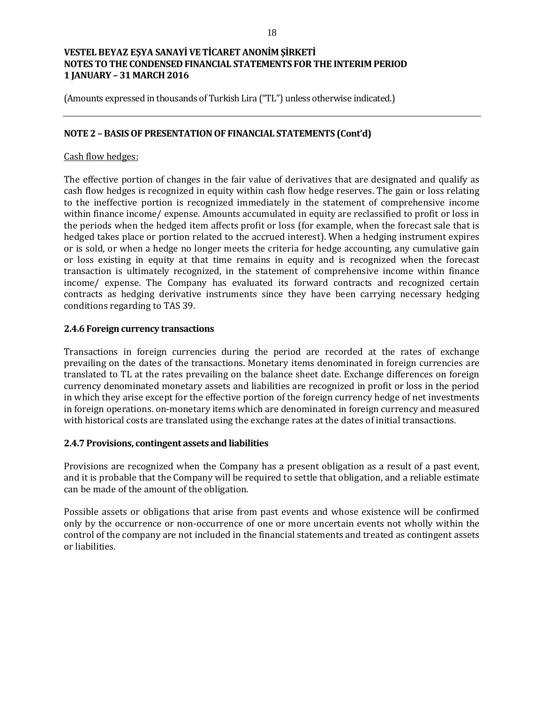(Amounts expressed in thousands of Turkish Lira ("TL") unless otherwise indicated.)

### **NOTE 2 – BASIS OF PRESENTATION OF FINANCIAL STATEMENTS (Cont'd)**

### Cash flow hedges:

The effective portion of changes in the fair value of derivatives that are designated and qualify as cash flow hedges is recognized in equity within cash flow hedge reserves. The gain or loss relating to the ineffective portion is recognized immediately in the statement of comprehensive income within finance income/ expense. Amounts accumulated in equity are reclassified to profit or loss in the periods when the hedged item affects profit or loss (for example, when the forecast sale that is hedged takes place or portion related to the accrued interest). When a hedging instrument expires or is sold, or when a hedge no longer meets the criteria for hedge accounting, any cumulative gain or loss existing in equity at that time remains in equity and is recognized when the forecast transaction is ultimately recognized, in the statement of comprehensive income within finance income/ expense. The Company has evaluated its forward contracts and recognized certain contracts as hedging derivative instruments since they have been carrying necessary hedging conditions regarding to TAS 39.

### **2.4.6 Foreign currency transactions**

Transactions in foreign currencies during the period are recorded at the rates of exchange prevailing on the dates of the transactions. Monetary items denominated in foreign currencies are translated to TL at the rates prevailing on the balance sheet date. Exchange differences on foreign currency denominated monetary assets and liabilities are recognized in profit or loss in the period in which they arise except for the effective portion of the foreign currency hedge of net investments in foreign operations. on-monetary items which are denominated in foreign currency and measured with historical costs are translated using the exchange rates at the dates of initial transactions.

### **2.4.7 Provisions, contingent assets and liabilities**

Provisions are recognized when the Company has a present obligation as a result of a past event, and it is probable that the Company will be required to settle that obligation, and a reliable estimate can be made of the amount of the obligation.

Possible assets or obligations that arise from past events and whose existence will be confirmed only by the occurrence or non-occurrence of one or more uncertain events not wholly within the control of the company are not included in the financial statements and treated as contingent assets or liabilities.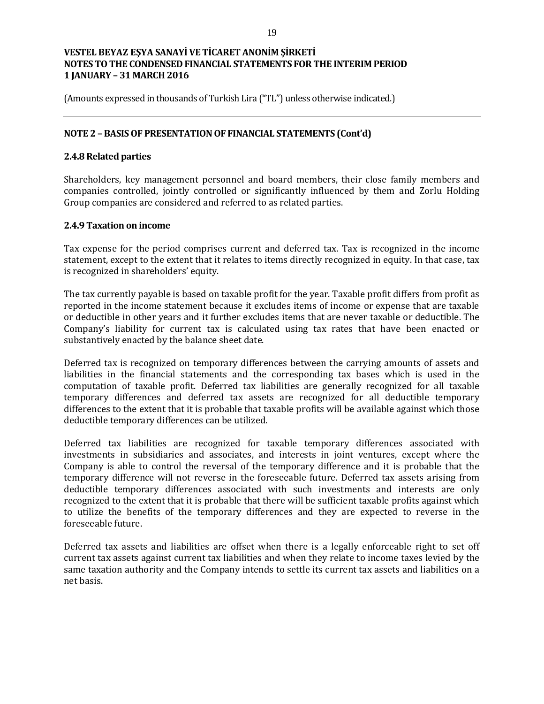(Amounts expressed in thousands of Turkish Lira ("TL") unless otherwise indicated.)

### **NOTE 2 – BASIS OF PRESENTATION OF FINANCIAL STATEMENTS (Cont'd)**

### **2.4.8Related parties**

Shareholders, key management personnel and board members, their close family members and companies controlled, jointly controlled or significantly influenced by them and Zorlu Holding Group companies are considered and referred to as related parties.

### **2.4.9Taxation on income**

Tax expense for the period comprises current and deferred tax. Tax is recognized in the income statement, except to the extent that it relates to items directly recognized in equity. In that case, tax is recognized in shareholders' equity.

The tax currently payable is based on taxable profit for the year. Taxable profit differs from profit as reported in the income statement because it excludes items of income or expense that are taxable or deductible in other years and it further excludes items that are never taxable or deductible. The Company's liability for current tax is calculated using tax rates that have been enacted or substantively enacted by the balance sheet date.

Deferred tax is recognized on temporary differences between the carrying amounts of assets and liabilities in the financial statements and the corresponding tax bases which is used in the computation of taxable profit. Deferred tax liabilities are generally recognized for all taxable temporary differences and deferred tax assets are recognized for all deductible temporary differences to the extent that it is probable that taxable profits will be available against which those deductible temporary differences can be utilized.

Deferred tax liabilities are recognized for taxable temporary differences associated with investments in subsidiaries and associates, and interests in joint ventures, except where the Company is able to control the reversal of the temporary difference and it is probable that the temporary difference will not reverse in the foreseeable future. Deferred tax assets arising from deductible temporary differences associated with such investments and interests are only recognized to the extent that it is probable that there will be sufficient taxable profits against which to utilize the benefits of the temporary differences and they are expected to reverse in the foreseeable future.

Deferred tax assets and liabilities are offset when there is a legally enforceable right to set off current tax assets against current tax liabilities and when they relate to income taxes levied by the same taxation authority and the Company intends to settle its current tax assets and liabilities on a net basis.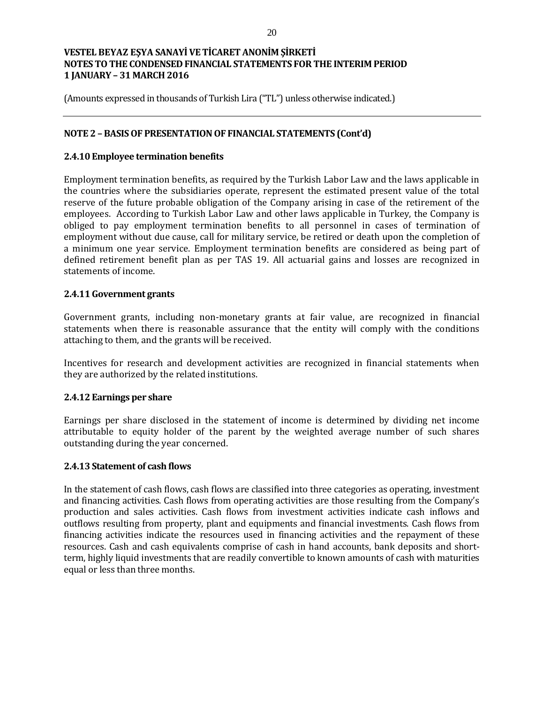(Amounts expressed in thousands of Turkish Lira ("TL") unless otherwise indicated.)

### **NOTE 2 – BASIS OF PRESENTATION OF FINANCIAL STATEMENTS (Cont'd)**

### **2.4.10 Employee termination benefits**

Employment termination benefits, as required by the Turkish Labor Law and the laws applicable in the countries where the subsidiaries operate, represent the estimated present value of the total reserve of the future probable obligation of the Company arising in case of the retirement of the employees. According to Turkish Labor Law and other laws applicable in Turkey, the Company is obliged to pay employment termination benefits to all personnel in cases of termination of employment without due cause, call for military service, be retired or death upon the completion of a minimum one year service. Employment termination benefits are considered as being part of defined retirement benefit plan as per TAS 19. All actuarial gains and losses are recognized in statements of income.

### **2.4.11Government grants**

Government grants, including non-monetary grants at fair value, are recognized in financial statements when there is reasonable assurance that the entity will comply with the conditions attaching to them, and the grants will be received.

Incentives for research and development activities are recognized in financial statements when they are authorized by the related institutions.

### **2.4.12 Earnings per share**

Earnings per share disclosed in the statement of income is determined by dividing net income attributable to equity holder of the parent by the weighted average number of such shares outstanding during the year concerned.

### **2.4.13 Statement of cash flows**

In the statement of cash flows, cash flows are classified into three categories as operating, investment and financing activities. Cash flows from operating activities are those resulting from the Company's production and sales activities. Cash flows from investment activities indicate cash inflows and outflows resulting from property, plant and equipments and financial investments. Cash flows from financing activities indicate the resources used in financing activities and the repayment of these resources. Cash and cash equivalents comprise of cash in hand accounts, bank deposits and shortterm, highly liquid investments that are readily convertible to known amounts of cash with maturities equal or less than three months.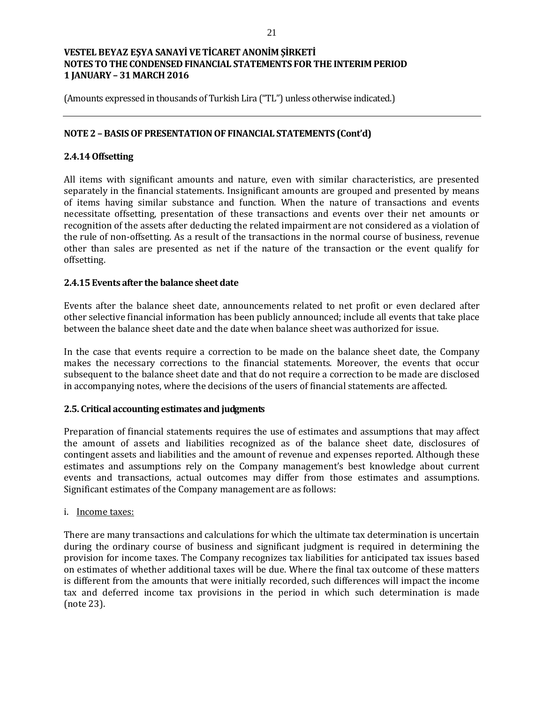(Amounts expressed in thousands of Turkish Lira ("TL") unless otherwise indicated.)

### **NOTE 2 – BASIS OF PRESENTATION OF FINANCIAL STATEMENTS (Cont'd)**

### **2.4.14Offsetting**

All items with significant amounts and nature, even with similar characteristics, are presented separately in the financial statements. Insignificant amounts are grouped and presented by means of items having similar substance and function. When the nature of transactions and events necessitate offsetting, presentation of these transactions and events over their net amounts or recognition of the assets after deducting the related impairment are not considered as a violation of the rule of non-offsetting. As a result of the transactions in the normal course of business, revenue other than sales are presented as net if the nature of the transaction or the event qualify for offsetting.

### **2.4.15 Events after the balance sheet date**

Events after the balance sheet date, announcements related to net profit or even declared after other selective financial information has been publicly announced; include all events that take place between the balance sheet date and the date when balance sheet was authorized for issue.

In the case that events require a correction to be made on the balance sheet date, the Company makes the necessary corrections to the financial statements. Moreover, the events that occur subsequent to the balance sheet date and that do not require a correction to be made are disclosed in accompanying notes, where the decisions of the users of financial statements are affected.

### **2.5. Critical accounting estimates and judgments**

Preparation of financial statements requires the use of estimates and assumptions that may affect the amount of assets and liabilities recognized as of the balance sheet date, disclosures of contingent assets and liabilities and the amount of revenue and expenses reported. Although these estimates and assumptions rely on the Company management's best knowledge about current events and transactions, actual outcomes may differ from those estimates and assumptions. Significant estimates of the Company management are as follows:

### i. Income taxes:

There are many transactions and calculations for which the ultimate tax determination is uncertain during the ordinary course of business and significant judgment is required in determining the provision for income taxes. The Company recognizes tax liabilities for anticipated tax issues based on estimates of whether additional taxes will be due. Where the final tax outcome of these matters is different from the amounts that were initially recorded, such differences will impact the income tax and deferred income tax provisions in the period in which such determination is made (note 23).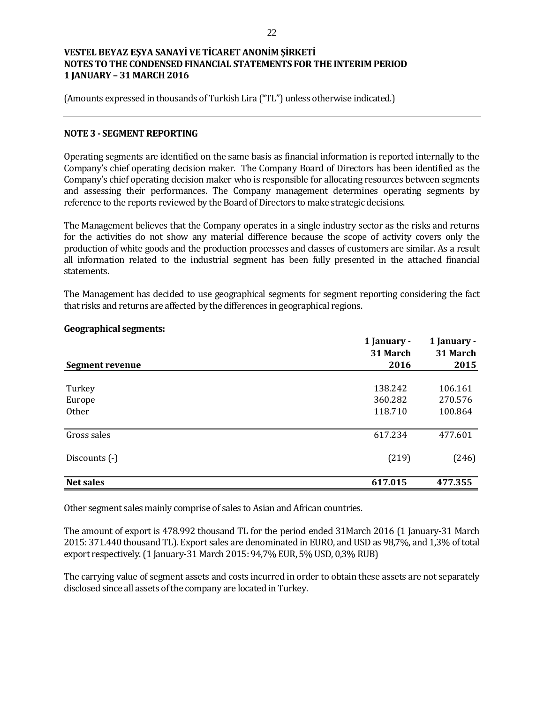(Amounts expressed in thousands of Turkish Lira ("TL") unless otherwise indicated.)

### **NOTE 3 - SEGMENT REPORTING**

Operating segments are identified on the same basis as financial information is reported internally to the Company's chief operating decision maker. The Company Board of Directors has been identified as the Company's chief operating decision maker who is responsible for allocating resources between segments and assessing their performances. The Company management determines operating segments by reference to the reports reviewed by the Board of Directors to make strategic decisions.

The Management believes that the Company operates in a single industry sector as the risks and returns for the activities do not show any material difference because the scope of activity covers only the production of white goods and the production processes and classes of customers are similar. As a result all information related to the industrial segment has been fully presented in the attached financial statements.

The Management has decided to use geographical segments for segment reporting considering the fact that risks and returns are affected by the differences in geographical regions.

| Segment revenue        | 1 January -<br>31 March<br>2016 | 1 January -<br>31 March<br>2015 |
|------------------------|---------------------------------|---------------------------------|
|                        |                                 |                                 |
| Turkey                 | 138.242<br>360.282              | 106.161<br>270.576              |
| Europe<br><b>Other</b> | 118.710                         | 100.864                         |
|                        |                                 |                                 |
| Gross sales            | 617.234                         | 477.601                         |
| Discounts (-)          | (219)                           | (246)                           |
| Net sales              | 617.015                         | 477.355                         |

#### **Geographical segments:**

Other segment sales mainly comprise of sales to Asian and African countries.

The amount of export is 478.992 thousand TL for the period ended 31March 2016 (1 January-31 March 2015: 371.440 thousand TL). Export sales are denominated in EURO, and USD as 98,7%, and 1,3% of total export respectively. (1 January-31 March 2015: 94,7% EUR, 5% USD, 0,3% RUB)

The carrying value of segment assets and costs incurred in order to obtain these assets are not separately disclosed since all assets of the company are located in Turkey.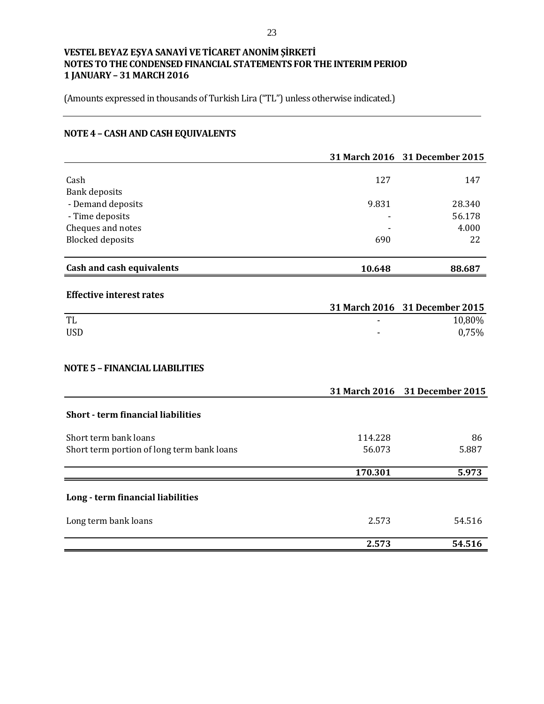(Amounts expressed in thousands of Turkish Lira ("TL") unless otherwise indicated.)

# **NOTE 4 – CASH AND CASH EQUIVALENTS**

|                                            |               | 31 March 2016 31 December 2015 |
|--------------------------------------------|---------------|--------------------------------|
| Cash                                       | 127           | 147                            |
| <b>Bank</b> deposits                       |               |                                |
| - Demand deposits                          | 9.831         | 28.340                         |
| - Time deposits                            |               | 56.178                         |
| Cheques and notes                          |               | 4.000                          |
| <b>Blocked</b> deposits                    | 690           | 22                             |
| <b>Cash and cash equivalents</b>           | 10.648        | 88.687                         |
| <b>Effective interest rates</b>            |               |                                |
|                                            |               | 31 March 2016 31 December 2015 |
| <b>TL</b>                                  |               | 10,80%                         |
| <b>USD</b>                                 |               | 0,75%                          |
| <b>NOTE 5 - FINANCIAL LIABILITIES</b>      |               |                                |
|                                            | 31 March 2016 | 31 December 2015               |
| <b>Short - term financial liabilities</b>  |               |                                |
| Short term bank loans                      | 114.228       | 86                             |
| Short term portion of long term bank loans | 56.073        | 5.887                          |
|                                            | 170.301       | 5.973                          |
| Long - term financial liabilities          |               |                                |
| Long term bank loans                       | 2.573         | 54.516                         |
|                                            | 2.573         | 54.516                         |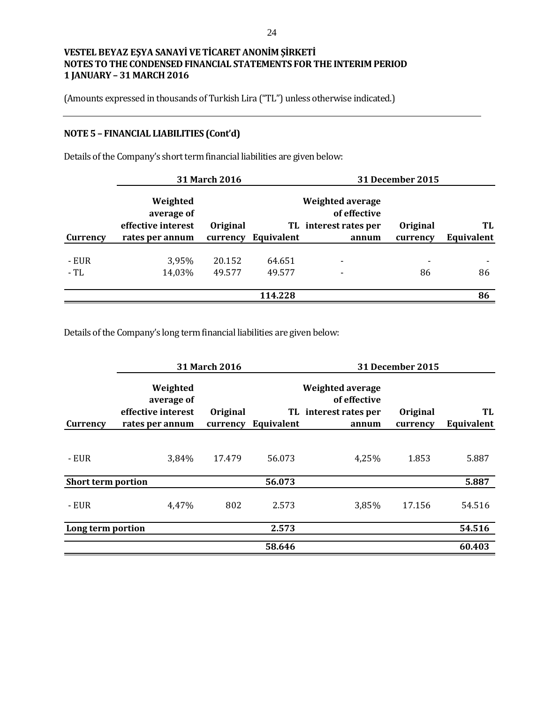(Amounts expressed in thousands of Turkish Lira ("TL") unless otherwise indicated.)

# **NOTE 5 – FINANCIAL LIABILITIES (Cont'd)**

Details of the Company's short term financial liabilities are given below:

|          |                                       | 31 March 2016        |            |                                  | <b>31 December 2015</b> |                  |
|----------|---------------------------------------|----------------------|------------|----------------------------------|-------------------------|------------------|
|          | Weighted<br>average of                |                      |            | Weighted average<br>of effective |                         |                  |
| Currency | effective interest<br>rates per annum | Original<br>currency | Equivalent | TL interest rates per<br>annum   | Original<br>currency    | TL<br>Equivalent |
|          |                                       |                      |            |                                  |                         |                  |
| - EUR    | 3,95%                                 | 20.152               | 64.651     | $\overline{\phantom{0}}$         |                         |                  |
| - TL     | 14,03%                                | 49.577               | 49.577     |                                  | 86                      | 86               |
|          |                                       |                      |            |                                  |                         |                  |
|          |                                       |                      | 114.228    |                                  |                         | 86               |

Details of the Company's long term financial liabilities are given below:

|                           |                                                                 | 31 March 2016        |            |                                                                    | <b>31 December 2015</b> |                  |
|---------------------------|-----------------------------------------------------------------|----------------------|------------|--------------------------------------------------------------------|-------------------------|------------------|
| Currency                  | Weighted<br>average of<br>effective interest<br>rates per annum | Original<br>currency | Equivalent | Weighted average<br>of effective<br>TL interest rates per<br>annum | Original<br>currency    | TL<br>Equivalent |
|                           |                                                                 |                      |            |                                                                    |                         |                  |
| - EUR                     | 3,84%                                                           | 17.479               | 56.073     | 4,25%                                                              | 1.853                   | 5.887            |
| <b>Short term portion</b> |                                                                 |                      | 56.073     |                                                                    |                         | 5.887            |
| - EUR                     | 4,47%                                                           | 802                  | 2.573      | 3,85%                                                              | 17.156                  | 54.516           |
| Long term portion         |                                                                 |                      | 2.573      |                                                                    |                         | 54.516           |
|                           |                                                                 |                      | 58.646     |                                                                    |                         | 60.403           |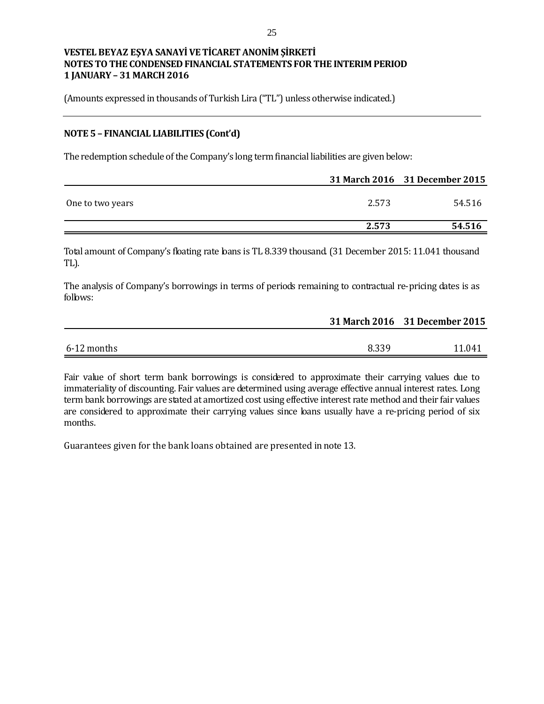(Amounts expressed in thousands of Turkish Lira ("TL") unless otherwise indicated.)

### **NOTE 5 – FINANCIAL LIABILITIES (Cont'd)**

The redemption schedule of the Company's long term financial liabilities are given below:

|                  |       | 31 March 2016 31 December 2015 |
|------------------|-------|--------------------------------|
| One to two years | 2.573 | 54.516                         |
|                  | 2.573 | 54.516                         |

Total amount of Company's floating rate loans is TL 8.339 thousand. (31 December 2015: 11.041 thousand TL).

The analysis of Company's borrowings in terms of periods remaining to contractual re-pricing dates is as follows:

|             |       | 31 March 2016 31 December 2015 |
|-------------|-------|--------------------------------|
|             |       |                                |
| 6-12 months | 8.339 | 11.041                         |

Fair value of short term bank borrowings is considered to approximate their carrying values due to immateriality of discounting. Fair values are determined using average effective annual interest rates. Long term bank borrowings are stated at amortized cost using effective interest rate method and their fair values are considered to approximate their carrying values since loans usually have a re-pricing period of six months.

Guarantees given for the bank loans obtained are presented in note 13.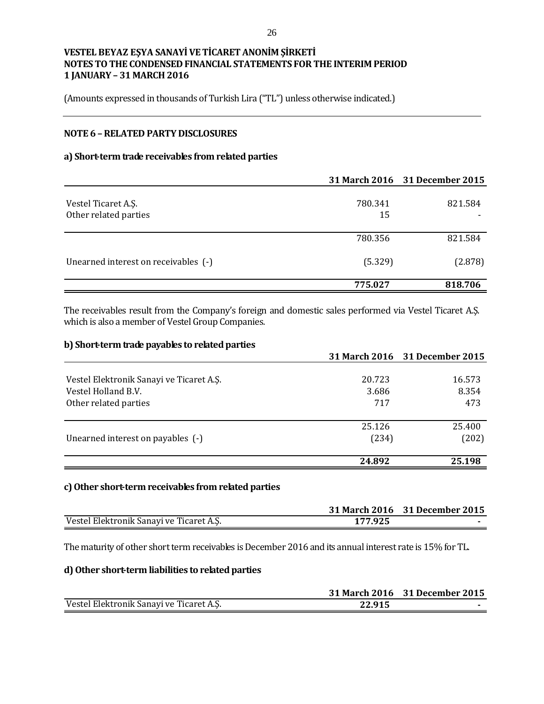(Amounts expressed in thousands of Turkish Lira ("TL") unless otherwise indicated.)

### **NOTE 6 –RELATED PARTY DISCLOSURES**

#### **a) Short-term trade receivables from related parties**

|                                      |         | 31 March 2016 31 December 2015 |
|--------------------------------------|---------|--------------------------------|
|                                      |         |                                |
| Vestel Ticaret A.Ş.                  | 780.341 | 821.584                        |
| Other related parties                | 15      |                                |
|                                      |         |                                |
|                                      | 780.356 | 821.584                        |
| Unearned interest on receivables (-) | (5.329) | (2.878)                        |
|                                      | 775.027 | 818.706                        |

The receivables result from the Company's foreign and domestic sales performed via Vestel Ticaret A.Ş. which is also a member of Vestel Group Companies.

#### **b) Short-term trade payables to related parties**

|                                          |        | 31 March 2016 31 December 2015 |
|------------------------------------------|--------|--------------------------------|
|                                          |        |                                |
| Vestel Elektronik Sanayi ve Ticaret A.Ş. | 20.723 | 16.573                         |
| Vestel Holland B.V.                      | 3.686  | 8.354                          |
| Other related parties                    | 717    | 473                            |
|                                          | 25.126 | 25.400                         |
| Unearned interest on payables (-)        | (234)  | (202)                          |
|                                          | 24.892 | 25.198                         |

### **c) Other short-term receivables from related parties**

|                                          |         | 31 March 2016 31 December 2015 |
|------------------------------------------|---------|--------------------------------|
| Vestel Elektronik Sanayi ve Ticaret A.S. | 177.925 |                                |

The maturity of other short term receivables is December 2016 and its annual interest rate is 15% for TL.

### **d) Other short-term liabilities to related parties**

|                                          |        | 31 March 2016 31 December 2015 |
|------------------------------------------|--------|--------------------------------|
| Vestel Elektronik Sanayi ve Ticaret A.S. | 22.915 |                                |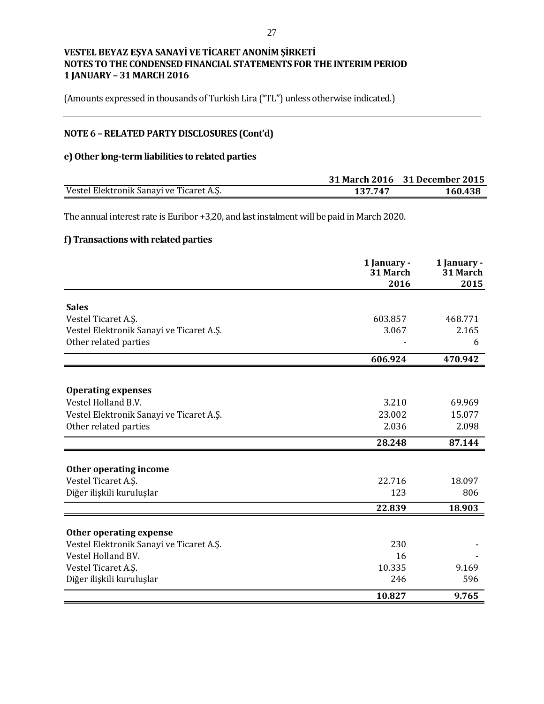(Amounts expressed in thousands of Turkish Lira ("TL") unless otherwise indicated.)

# **NOTE 6 –RELATED PARTY DISCLOSURES (Cont'd)**

### **e) Other long-term liabilities to related parties**

|                                          |         | 31 March 2016 31 December 2015 |
|------------------------------------------|---------|--------------------------------|
| Vestel Elektronik Sanayi ve Ticaret A.Ş. | 137.747 | 160.438                        |

The annual interest rate is Euribor +3,20, and last instalment will be paid in March 2020.

#### **f) Transactions with related parties**

|                                          | 1 January -<br>31 March | 1 January -<br>31 March |
|------------------------------------------|-------------------------|-------------------------|
|                                          | 2016                    | 2015                    |
| <b>Sales</b>                             |                         |                         |
| Vestel Ticaret A.Ş.                      | 603.857                 | 468.771                 |
| Vestel Elektronik Sanayi ve Ticaret A.Ş. | 3.067                   | 2.165                   |
| Other related parties                    |                         | 6                       |
|                                          | 606.924                 | 470.942                 |
|                                          |                         |                         |
| <b>Operating expenses</b>                |                         |                         |
| Vestel Holland B.V.                      | 3.210                   | 69.969                  |
| Vestel Elektronik Sanayi ve Ticaret A.Ş. | 23.002                  | 15.077                  |
| Other related parties                    | 2.036                   | 2.098                   |
|                                          | 28.248                  | 87.144                  |
|                                          |                         |                         |
| Other operating income                   |                         |                         |
| Vestel Ticaret A.S.                      | 22.716                  | 18.097                  |
| Diğer ilişkili kuruluşlar                | 123                     | 806                     |
|                                          | 22.839                  | 18.903                  |
| Other operating expense                  |                         |                         |
| Vestel Elektronik Sanayi ve Ticaret A.Ş. | 230                     |                         |
| Vestel Holland BV.                       | 16                      |                         |
| Vestel Ticaret A.Ş.                      | 10.335                  | 9.169                   |
| Diğer ilişkili kuruluşlar                | 246                     | 596                     |
|                                          | 10.827                  | 9.765                   |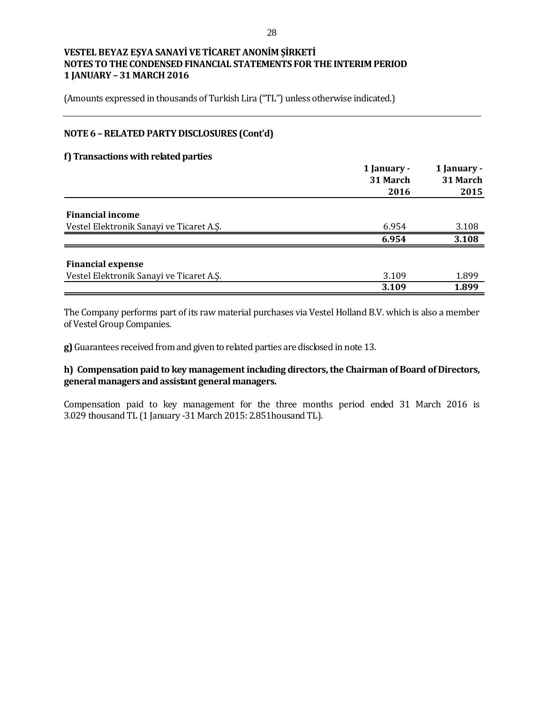(Amounts expressed in thousands of Turkish Lira ("TL") unless otherwise indicated.)

### **NOTE 6 –RELATED PARTY DISCLOSURES (Cont'd)**

#### **f) Transactions with related parties**

|                                          | 1 January -<br>31 March | 1 January -<br>31 March |
|------------------------------------------|-------------------------|-------------------------|
|                                          | 2016                    | 2015                    |
| <b>Financial income</b>                  |                         |                         |
| Vestel Elektronik Sanayi ve Ticaret A.Ş. | 6.954                   | 3.108                   |
|                                          | 6.954                   | 3.108                   |
| <b>Financial expense</b>                 |                         |                         |
| Vestel Elektronik Sanayi ve Ticaret A.Ş. | 3.109                   | 1.899                   |
|                                          | 3.109                   | 1.899                   |

The Company performs part of its raw material purchases via Vestel Holland B.V. which is also a member of Vestel Group Companies.

**g)** Guarantees received from and given to related parties are disclosed in note 13.

**h) Compensation paid to key management including directors, the Chairman of Board of Directors, general managers and assistant general managers.**

Compensation paid to key management for the three months period ended 31 March 2016 is 3.029 thousand TL (1 January -31 March 2015: 2.851housand TL).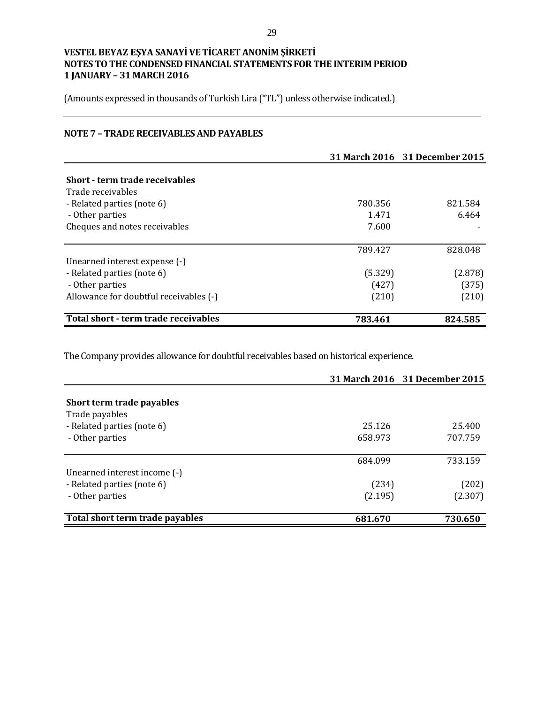(Amounts expressed in thousands of Turkish Lira ("TL") unless otherwise indicated.)

### **NOTE 7 – TRADE RECEIVABLES AND PAYABLES**

|                                        |         | 31 March 2016 31 December 2015 |
|----------------------------------------|---------|--------------------------------|
|                                        |         |                                |
| Short - term trade receivables         |         |                                |
| Trade receivables                      |         |                                |
| - Related parties (note 6)             | 780.356 | 821.584                        |
| - Other parties                        | 1.471   | 6.464                          |
| Cheques and notes receivables          | 7.600   |                                |
|                                        |         |                                |
|                                        | 789.427 | 828.048                        |
| Unearned interest expense (-)          |         |                                |
| - Related parties (note 6)             | (5.329) | (2.878)                        |
| - Other parties                        | (427)   | (375)                          |
| Allowance for doubtful receivables (-) | (210)   | (210)                          |
|                                        |         |                                |
| Total short - term trade receivables   | 783.461 | 824.585                        |

The Company provides allowance for doubtful receivables based on historical experience.

|                                 |         | 31 March 2016 31 December 2015 |
|---------------------------------|---------|--------------------------------|
|                                 |         |                                |
| Short term trade payables       |         |                                |
| Trade payables                  |         |                                |
| - Related parties (note 6)      | 25.126  | 25.400                         |
| - Other parties                 | 658.973 | 707.759                        |
|                                 | 684.099 | 733.159                        |
| Unearned interest income (-)    |         |                                |
| - Related parties (note 6)      | (234)   | (202)                          |
| - Other parties                 | (2.195) | (2.307)                        |
| Total short term trade payables | 681.670 | 730.650                        |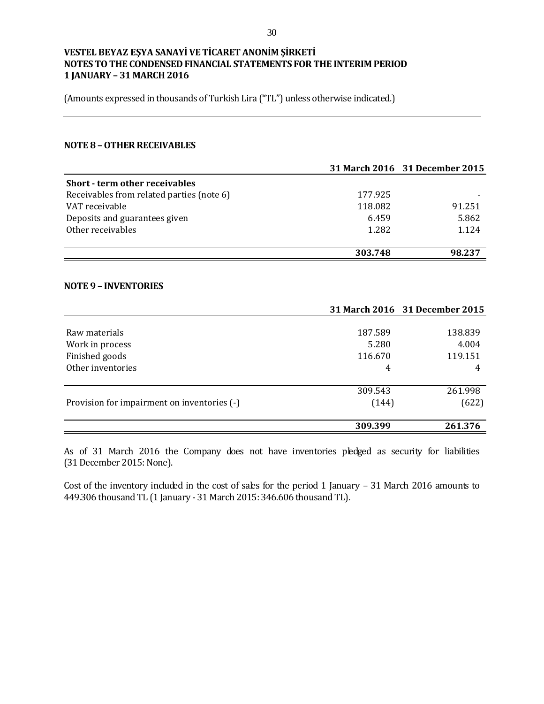(Amounts expressed in thousands of Turkish Lira ("TL") unless otherwise indicated.)

#### **NOTE 8 –OTHER RECEIVABLES**

|                                           |         | 31 March 2016 31 December 2015 |
|-------------------------------------------|---------|--------------------------------|
| Short - term other receivables            |         |                                |
| Receivables from related parties (note 6) | 177.925 |                                |
| VAT receivable                            | 118.082 | 91.251                         |
| Deposits and guarantees given             | 6.459   | 5.862                          |
| Other receivables                         | 1.282   | 1.124                          |
|                                           | 303.748 | 98.237                         |

### **NOTE 9 – INVENTORIES**

|                                             |         | 31 March 2016 31 December 2015 |
|---------------------------------------------|---------|--------------------------------|
|                                             |         |                                |
| Raw materials                               | 187.589 | 138.839                        |
| Work in process                             | 5.280   | 4.004                          |
| Finished goods                              | 116.670 | 119.151                        |
| Other inventories                           | 4       | 4                              |
|                                             |         |                                |
|                                             | 309.543 | 261.998                        |
| Provision for impairment on inventories (-) | (144)   | (622)                          |
|                                             |         |                                |
|                                             | 309.399 | 261.376                        |

As of 31 March 2016 the Company does not have inventories pledged as security for liabilities (31 December 2015: None).

Cost of the inventory included in the cost of sales for the period 1 January – 31 March 2016 amounts to 449.306 thousand TL (1 January - 31 March 2015: 346.606 thousand TL).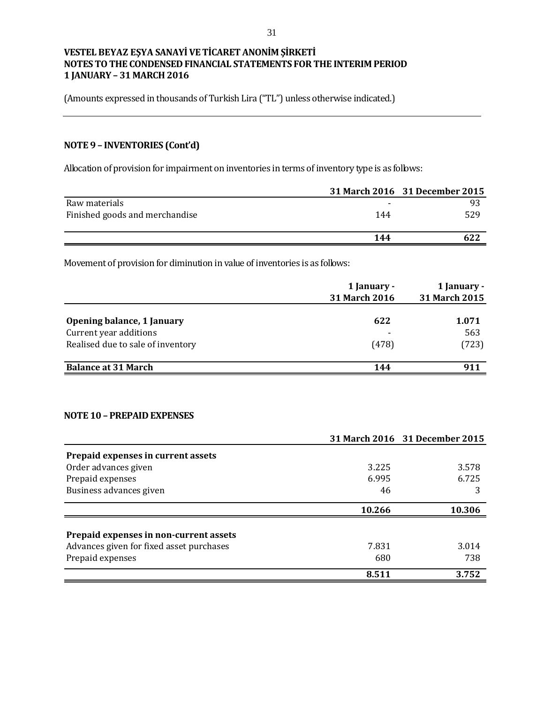(Amounts expressed in thousands of Turkish Lira ("TL") unless otherwise indicated.)

## **NOTE 9 – INVENTORIES (Cont'd)**

Allocation of provision for impairment on inventories in terms of inventory type is as follows:

|                                |                | 31 March 2016 31 December 2015 |
|--------------------------------|----------------|--------------------------------|
| Raw materials                  | $\blacksquare$ |                                |
| Finished goods and merchandise | 144            | 529                            |
|                                |                |                                |
|                                | 144            |                                |

Movement of provision for diminution in value of inventories is as follows:

|                                   | 1 January -<br>31 March 2016 | 1 January -<br>31 March 2015 |  |
|-----------------------------------|------------------------------|------------------------------|--|
| Opening balance, 1 January        | 622                          | 1.071                        |  |
| Current year additions            |                              | 563                          |  |
| Realised due to sale of inventory | (478)                        | (723)                        |  |
| <b>Balance at 31 March</b>        | 144                          | 911                          |  |

### **NOTE 10 – PREPAID EXPENSES**

|                                          |        | 31 March 2016 31 December 2015 |
|------------------------------------------|--------|--------------------------------|
| Prepaid expenses in current assets       |        |                                |
| Order advances given                     | 3.225  | 3.578                          |
| Prepaid expenses                         | 6.995  | 6.725                          |
| Business advances given                  | 46     |                                |
|                                          | 10.266 | 10.306                         |
| Prepaid expenses in non-current assets   |        |                                |
| Advances given for fixed asset purchases | 7.831  | 3.014                          |
| Prepaid expenses                         | 680    | 738                            |
|                                          | 8.511  | 3.752                          |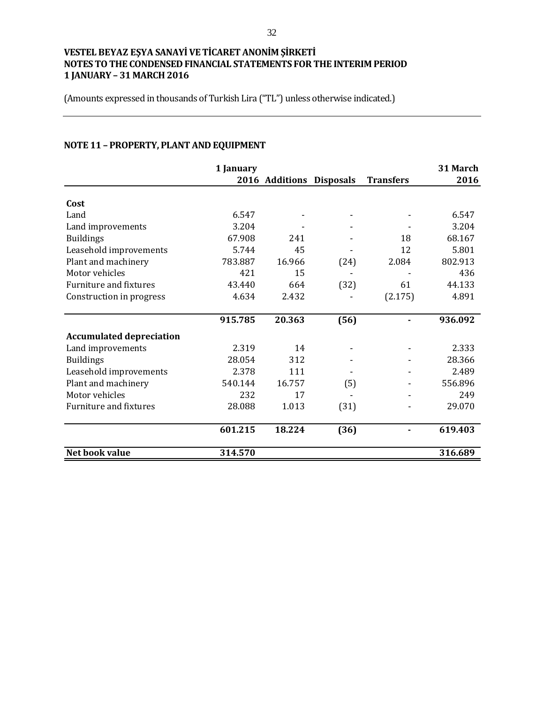(Amounts expressed in thousands of Turkish Lira ("TL") unless otherwise indicated.)

|                                 | 1 January |                          |      |                  | 31 March<br>2016 |
|---------------------------------|-----------|--------------------------|------|------------------|------------------|
|                                 |           | 2016 Additions Disposals |      | <b>Transfers</b> |                  |
| Cost                            |           |                          |      |                  |                  |
| Land                            | 6.547     |                          |      |                  | 6.547            |
| Land improvements               | 3.204     |                          |      |                  | 3.204            |
| <b>Buildings</b>                | 67.908    | 241                      |      | 18               | 68.167           |
| Leasehold improvements          | 5.744     | 45                       |      | 12               | 5.801            |
| Plant and machinery             | 783.887   | 16.966                   | (24) | 2.084            | 802.913          |
| Motor vehicles                  | 421       | 15                       |      |                  | 436              |
| Furniture and fixtures          | 43.440    | 664                      | (32) | 61               | 44.133           |
| Construction in progress        | 4.634     | 2.432                    |      | (2.175)          | 4.891            |
|                                 | 915.785   | 20.363                   | (56) |                  | 936.092          |
| <b>Accumulated depreciation</b> |           |                          |      |                  |                  |
| Land improvements               | 2.319     | 14                       |      |                  | 2.333            |
| <b>Buildings</b>                | 28.054    | 312                      |      |                  | 28.366           |
| Leasehold improvements          | 2.378     | 111                      |      |                  | 2.489            |
| Plant and machinery             | 540.144   | 16.757                   | (5)  |                  | 556.896          |
| Motor vehicles                  | 232       | 17                       |      |                  | 249              |
| Furniture and fixtures          | 28.088    | 1.013                    | (31) |                  | 29.070           |
|                                 | 601.215   | 18.224                   | (36) |                  | 619.403          |
| Net book value                  | 314.570   |                          |      |                  | 316.689          |

# **NOTE 11 – PROPERTY, PLANT AND EQUIPMENT**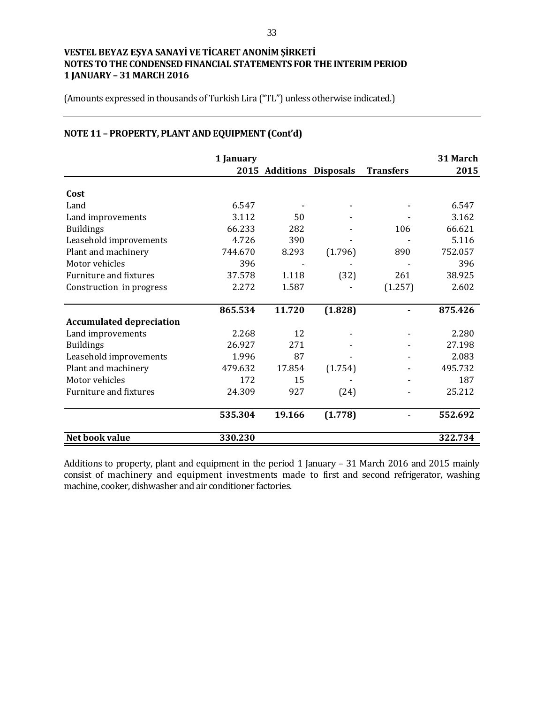(Amounts expressed in thousands of Turkish Lira ("TL") unless otherwise indicated.)

|                                 | 1 January |        |                          |                  | 31 March |
|---------------------------------|-----------|--------|--------------------------|------------------|----------|
|                                 |           |        | 2015 Additions Disposals | <b>Transfers</b> | 2015     |
| Cost                            |           |        |                          |                  |          |
| Land                            | 6.547     |        |                          |                  | 6.547    |
| Land improvements               | 3.112     | 50     |                          |                  | 3.162    |
| <b>Buildings</b>                | 66.233    | 282    |                          | 106              | 66.621   |
| Leasehold improvements          | 4.726     | 390    |                          |                  | 5.116    |
| Plant and machinery             | 744.670   | 8.293  | (1.796)                  | 890              | 752.057  |
| Motor vehicles                  | 396       |        |                          |                  | 396      |
| Furniture and fixtures          | 37.578    | 1.118  | (32)                     | 261              | 38.925   |
| Construction in progress        | 2.272     | 1.587  |                          | (1.257)          | 2.602    |
|                                 | 865.534   | 11.720 | (1.828)                  |                  | 875.426  |
| <b>Accumulated depreciation</b> |           |        |                          |                  |          |
| Land improvements               | 2.268     | 12     |                          |                  | 2.280    |
| <b>Buildings</b>                | 26.927    | 271    |                          |                  | 27.198   |
| Leasehold improvements          | 1.996     | 87     |                          |                  | 2.083    |
| Plant and machinery             | 479.632   | 17.854 | (1.754)                  |                  | 495.732  |
| Motor vehicles                  | 172       | 15     |                          |                  | 187      |
| <b>Furniture and fixtures</b>   | 24.309    | 927    | (24)                     |                  | 25.212   |
|                                 | 535.304   | 19.166 | (1.778)                  |                  | 552.692  |
| Net book value                  | 330.230   |        |                          |                  | 322.734  |

# **NOTE 11 – PROPERTY, PLANT AND EQUIPMENT (Cont'd)**

Additions to property, plant and equipment in the period 1 January – 31 March 2016 and 2015 mainly consist of machinery and equipment investments made to first and second refrigerator, washing machine, cooker, dishwasher and air conditioner factories.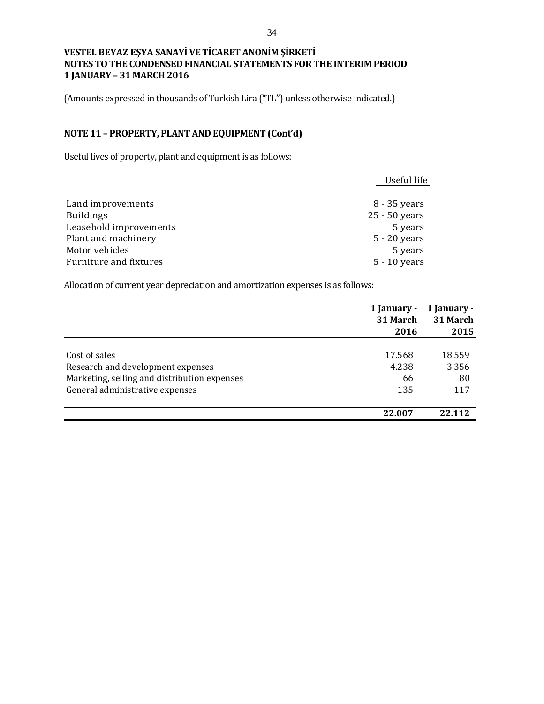(Amounts expressed in thousands of Turkish Lira ("TL") unless otherwise indicated.)

# **NOTE 11 – PROPERTY, PLANT AND EQUIPMENT (Cont'd)**

Useful lives of property, plant and equipment is as follows:

| Useful life   |
|---------------|
| 8 - 35 years  |
| 25 - 50 years |
| 5 years       |
| 5 - 20 years  |
| 5 years       |
| 5 - 10 years  |
|               |

Allocation of current year depreciation and amortization expenses is as follows:

|                                              | 1 January -<br>31 March<br>2016 | 1 January -<br>31 March<br>2015 |
|----------------------------------------------|---------------------------------|---------------------------------|
|                                              |                                 |                                 |
| Cost of sales                                | 17.568                          | 18.559                          |
| Research and development expenses            | 4.238                           | 3.356                           |
| Marketing, selling and distribution expenses | 66                              | 80                              |
| General administrative expenses              | 135                             | 117                             |
|                                              | 22.007                          | 22 1 1 2                        |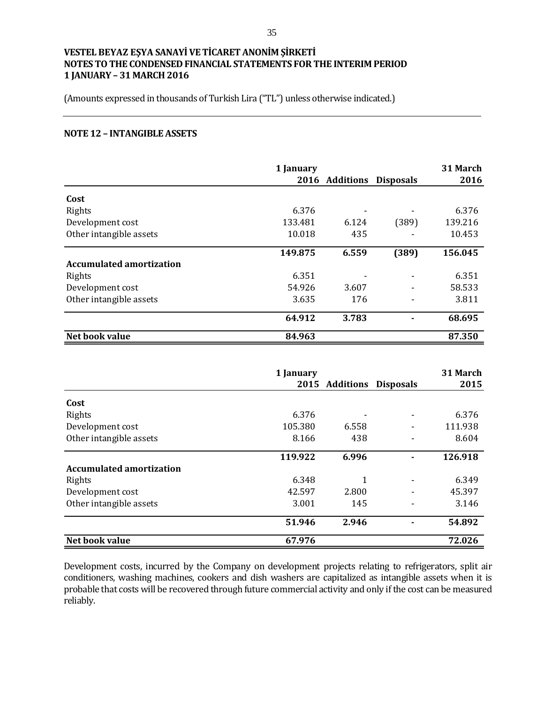(Amounts expressed in thousands of Turkish Lira ("TL") unless otherwise indicated.)

#### **NOTE 12 – INTANGIBLE ASSETS**

|                                 | 1 January |                |                  | 31 March |
|---------------------------------|-----------|----------------|------------------|----------|
|                                 |           | 2016 Additions | <b>Disposals</b> | 2016     |
| Cost                            |           |                |                  |          |
| Rights                          | 6.376     |                |                  | 6.376    |
| Development cost                | 133.481   | 6.124          | (389)            | 139.216  |
| Other intangible assets         | 10.018    | 435            |                  | 10.453   |
|                                 | 149.875   | 6.559          | (389)            | 156.045  |
| <b>Accumulated amortization</b> |           |                |                  |          |
| Rights                          | 6.351     |                |                  | 6.351    |
| Development cost                | 54.926    | 3.607          |                  | 58.533   |
| Other intangible assets         | 3.635     | 176            |                  | 3.811    |
|                                 | 64.912    | 3.783          |                  | 68.695   |
| Net book value                  | 84.963    |                |                  | 87.350   |

|                                 | 1 January |                |                  | 31 March |
|---------------------------------|-----------|----------------|------------------|----------|
|                                 |           | 2015 Additions | <b>Disposals</b> | 2015     |
| Cost                            |           |                |                  |          |
| Rights                          | 6.376     |                |                  | 6.376    |
| Development cost                | 105.380   | 6.558          |                  | 111.938  |
| Other intangible assets         | 8.166     | 438            |                  | 8.604    |
|                                 | 119.922   | 6.996          |                  | 126.918  |
| <b>Accumulated amortization</b> |           |                |                  |          |
| Rights                          | 6.348     | 1              |                  | 6.349    |
| Development cost                | 42.597    | 2.800          |                  | 45.397   |
| Other intangible assets         | 3.001     | 145            |                  | 3.146    |
|                                 | 51.946    | 2.946          |                  | 54.892   |
| Net book value                  | 67.976    |                |                  | 72.026   |

Development costs, incurred by the Company on development projects relating to refrigerators, split air conditioners, washing machines, cookers and dish washers are capitalized as intangible assets when it is probable that costs will be recovered through future commercial activity and only if the cost can be measured reliably.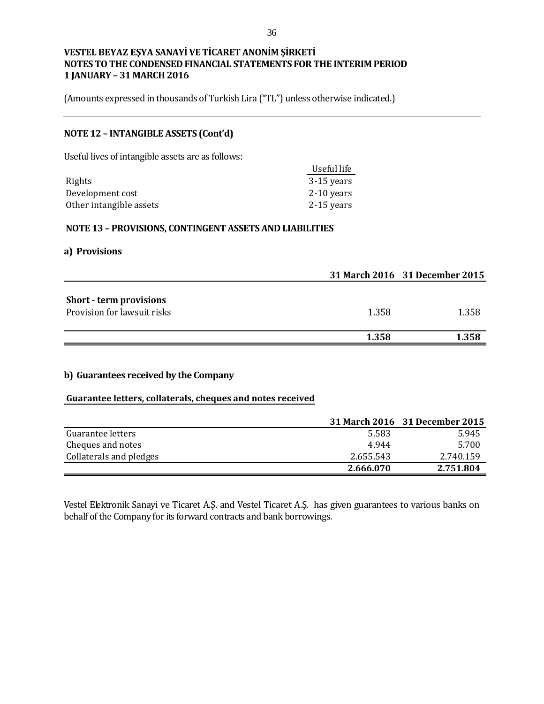(Amounts expressed in thousands of Turkish Lira ("TL") unless otherwise indicated.)

### **NOTE 12 – INTANGIBLE ASSETS (Cont'd)**

Useful lives of intangible assets are as follows:

|                         | Useful life  |
|-------------------------|--------------|
| Rights                  | $3-15$ years |
| Development cost        | $2-10$ years |
| Other intangible assets | $2-15$ years |

#### **NOTE 13 – PROVISIONS, CONTINGENT ASSETS AND LIABILITIES**

#### **a) Provisions**

|                                                               |       | 31 March 2016 31 December 2015 |
|---------------------------------------------------------------|-------|--------------------------------|
| <b>Short - term provisions</b><br>Provision for lawsuit risks | 1.358 | 1.358                          |
|                                                               | 1.358 | 1.358                          |
|                                                               |       |                                |

### **b) Guarantees received by the Company**

### **Guarantee letters, collaterals, cheques and notes received**

|                         |           | 31 March 2016 31 December 2015 |
|-------------------------|-----------|--------------------------------|
| Guarantee letters       | 5.583     | 5.945                          |
| Cheques and notes       | 4.944     | 5.700                          |
| Collaterals and pledges | 2.655.543 | 2.740.159                      |
|                         | 2.666.070 | 2.751.804                      |

Vestel Elektronik Sanayi ve Ticaret A.Ş. and Vestel Ticaret A.Ş. has given guarantees to various banks on behalf of the Company for its forward contracts and bank borrowings.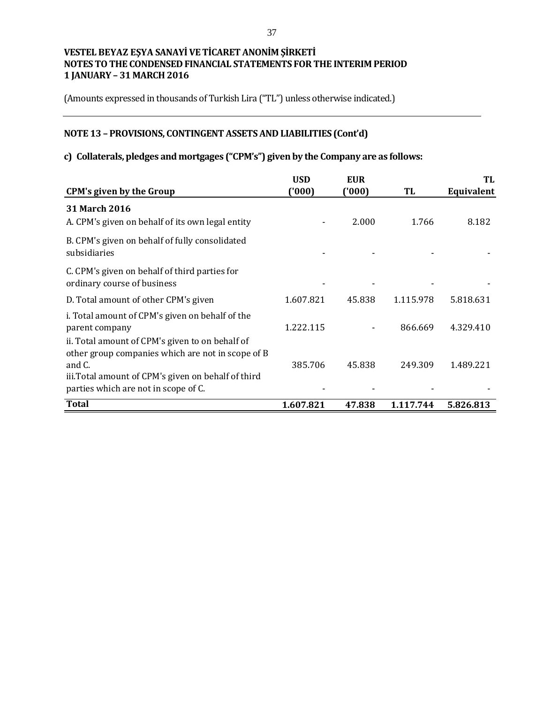(Amounts expressed in thousands of Turkish Lira ("TL") unless otherwise indicated.)

# **NOTE 13 – PROVISIONS, CONTINGENT ASSETS AND LIABILITIES (Cont'd)**

## **c) Collaterals, pledges and mortgages ("CPM's") given by the Company are as follows:**

|                                                                                                                                                                       | <b>USD</b> | <b>EUR</b> |           | TL         |
|-----------------------------------------------------------------------------------------------------------------------------------------------------------------------|------------|------------|-----------|------------|
| <b>CPM's given by the Group</b>                                                                                                                                       | ('000)     | ('000)     | TL        | Equivalent |
| <b>31 March 2016</b><br>A. CPM's given on behalf of its own legal entity                                                                                              |            | 2.000      | 1.766     | 8.182      |
| B. CPM's given on behalf of fully consolidated<br>subsidiaries                                                                                                        |            |            |           |            |
| C. CPM's given on behalf of third parties for<br>ordinary course of business                                                                                          |            |            |           |            |
| D. Total amount of other CPM's given                                                                                                                                  | 1.607.821  | 45.838     | 1.115.978 | 5.818.631  |
| i. Total amount of CPM's given on behalf of the<br>parent company                                                                                                     | 1.222.115  |            | 866.669   | 4.329.410  |
| ii. Total amount of CPM's given to on behalf of<br>other group companies which are not in scope of B<br>and C.<br>iii. Total amount of CPM's given on behalf of third | 385.706    | 45.838     | 249.309   | 1.489.221  |
| parties which are not in scope of C.                                                                                                                                  |            |            |           |            |
| <b>Total</b>                                                                                                                                                          | 1.607.821  | 47.838     | 1.117.744 | 5.826.813  |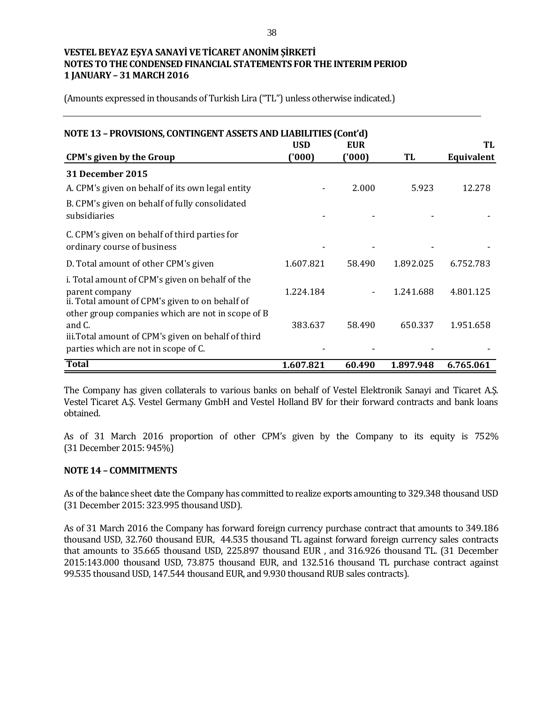(Amounts expressed in thousands of Turkish Lira ("TL") unless otherwise indicated.)

| NOTE 13 - PROVISIONS, CONTINGENT ASSETS AND LIABILITIES (Cont'd)                                                                                                          |            |            |           |            |
|---------------------------------------------------------------------------------------------------------------------------------------------------------------------------|------------|------------|-----------|------------|
|                                                                                                                                                                           | <b>USD</b> | <b>EUR</b> |           | TL         |
| <b>CPM's given by the Group</b>                                                                                                                                           | ('000)     | ('000)     | TL        | Equivalent |
| <b>31 December 2015</b>                                                                                                                                                   |            |            |           |            |
| A. CPM's given on behalf of its own legal entity                                                                                                                          |            | 2.000      | 5.923     | 12.278     |
| B. CPM's given on behalf of fully consolidated<br>subsidiaries                                                                                                            |            |            |           |            |
| C. CPM's given on behalf of third parties for<br>ordinary course of business                                                                                              |            |            |           |            |
| D. Total amount of other CPM's given                                                                                                                                      | 1.607.821  | 58.490     | 1.892.025 | 6.752.783  |
| i. Total amount of CPM's given on behalf of the<br>parent company<br>ii. Total amount of CPM's given to on behalf of<br>other group companies which are not in scope of B | 1.224.184  |            | 1.241.688 | 4.801.125  |
| and C.<br>iii. Total amount of CPM's given on behalf of third<br>parties which are not in scope of C.                                                                     | 383.637    | 58.490     | 650.337   | 1.951.658  |
| <b>Total</b>                                                                                                                                                              | 1.607.821  | 60.490     | 1.897.948 | 6.765.061  |

The Company has given collaterals to various banks on behalf of Vestel Elektronik Sanayi and Ticaret A.Ş. Vestel Ticaret A.Ş. Vestel Germany GmbH and Vestel Holland BV for their forward contracts and bank loans obtained.

As of 31 March 2016 proportion of other CPM's given by the Company to its equity is 752% (31 December 2015: 945%)

### **NOTE 14 – COMMITMENTS**

As of the balance sheet date the Company has committed to realize exports amounting to 329.348 thousand USD (31 December 2015: 323.995 thousand USD).

As of 31 March 2016 the Company has forward foreign currency purchase contract that amounts to 349.186 thousand USD, 32.760 thousand EUR, 44.535 thousand TL against forward foreign currency sales contracts that amounts to 35.665 thousand USD, 225.897 thousand EUR , and 316.926 thousand TL. (31 December 2015:143.000 thousand USD, 73.875 thousand EUR, and 132.516 thousand TL purchase contract against 99.535 thousand USD, 147.544 thousand EUR, and 9.930 thousand RUB sales contracts).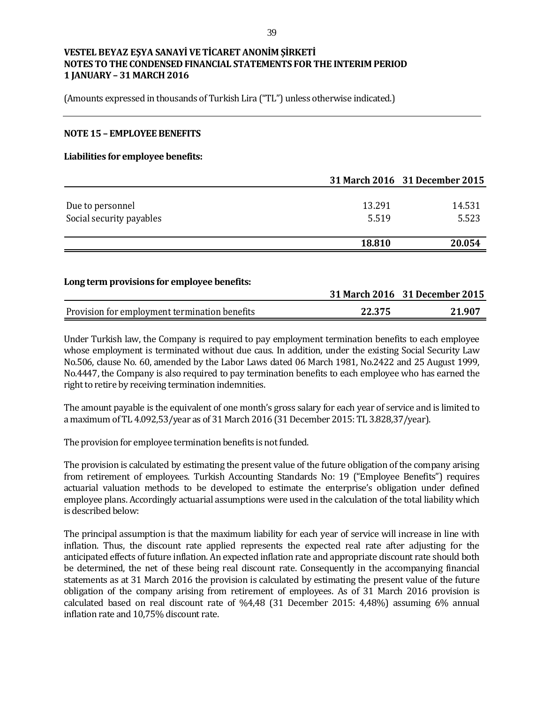(Amounts expressed in thousands of Turkish Lira ("TL") unless otherwise indicated.)

#### **NOTE 15 – EMPLOYEE BENEFITS**

#### **Liabilities for employee benefits:**

|                                             |        | 31 March 2016 31 December 2015 |
|---------------------------------------------|--------|--------------------------------|
|                                             |        |                                |
| Due to personnel                            | 13.291 | 14.531                         |
| Social security payables                    | 5.519  | 5.523                          |
|                                             |        |                                |
|                                             | 18.810 | 20.054                         |
|                                             |        |                                |
|                                             |        |                                |
| Long term provisions for employee benefits: |        |                                |

|                                               |        | 31 March 2016 31 December 2015 |
|-----------------------------------------------|--------|--------------------------------|
| Provision for employment termination benefits | 22.375 | 21.907                         |

Under Turkish law, the Company is required to pay employment termination benefits to each employee whose employment is terminated without due caus. In addition, under the existing Social Security Law No.506, clause No. 60, amended by the Labor Laws dated 06 March 1981, No.2422 and 25 August 1999, No.4447, the Company is also required to pay termination benefits to each employee who has earned the right to retire by receiving termination indemnities.

The amount payable is the equivalent of one month's gross salary for each year of service and is limited to a maximum of TL 4.092,53/year as of 31 March 2016 (31 December 2015: TL 3.828,37/year).

The provision for employee termination benefits is not funded.

The provision is calculated by estimating the present value of the future obligation of the company arising from retirement of employees. Turkish Accounting Standards No: 19 ("Employee Benefits") requires actuarial valuation methods to be developed to estimate the enterprise's obligation under defined employee plans. Accordingly actuarial assumptions were used in the calculation of the total liability which is described below:

The principal assumption is that the maximum liability for each year of service will increase in line with inflation. Thus, the discount rate applied represents the expected real rate after adjusting for the anticipated effects of future inflation. An expected inflation rate and appropriate discount rate should both be determined, the net of these being real discount rate. Consequently in the accompanying financial statements as at 31 March 2016 the provision is calculated by estimating the present value of the future obligation of the company arising from retirement of employees. As of 31 March 2016 provision is calculated based on real discount rate of %4,48 (31 December 2015: 4,48%) assuming 6% annual inflation rate and 10,75% discount rate.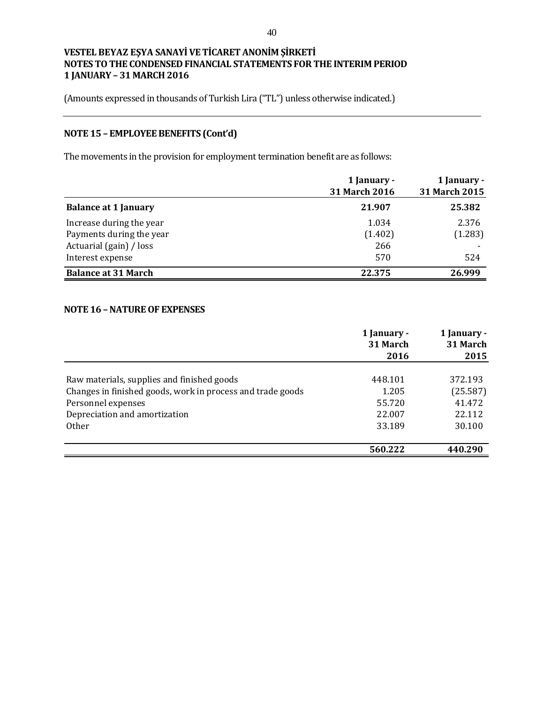(Amounts expressed in thousands of Turkish Lira ("TL") unless otherwise indicated.)

# **NOTE 15 – EMPLOYEE BENEFITS (Cont'd)**

The movements in the provision for employment termination benefit are as follows:

|                             | 1 January -<br>31 March 2016 | 1 January -<br>31 March 2015 |
|-----------------------------|------------------------------|------------------------------|
| <b>Balance at 1 January</b> | 21.907                       | 25.382                       |
| Increase during the year    | 1.034                        | 2.376                        |
| Payments during the year    | (1.402)                      | (1.283)                      |
| Actuarial (gain) / loss     | 266                          |                              |
| Interest expense            | 570                          | 524                          |
| <b>Balance at 31 March</b>  | 22.375                       | 26.999                       |

### **NOTE 16 –NATURE OF EXPENSES**

|                                                            | 1 January -<br>31 March<br>2016 | 1 January -<br>31 March<br>2015 |  |
|------------------------------------------------------------|---------------------------------|---------------------------------|--|
|                                                            |                                 |                                 |  |
| Raw materials, supplies and finished goods                 | 448.101                         | 372.193                         |  |
| Changes in finished goods, work in process and trade goods | 1.205                           | (25.587)                        |  |
| Personnel expenses                                         | 55.720                          | 41.472                          |  |
| Depreciation and amortization                              | 22.007                          | 22.112                          |  |
| <b>Other</b>                                               | 33.189                          | 30.100                          |  |
|                                                            |                                 |                                 |  |
|                                                            | 560.222                         | 440.290                         |  |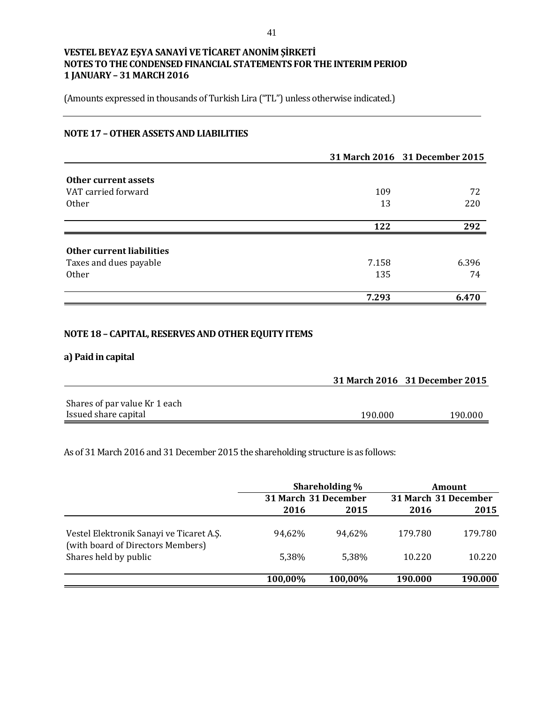(Amounts expressed in thousands of Turkish Lira ("TL") unless otherwise indicated.)

## **NOTE 17 –OTHER ASSETS AND LIABILITIES**

|                                  |       | 31 March 2016 31 December 2015 |
|----------------------------------|-------|--------------------------------|
|                                  |       |                                |
| Other current assets             |       |                                |
| VAT carried forward              | 109   | 72                             |
| <b>Other</b>                     | 13    | 220                            |
|                                  |       |                                |
|                                  | 122   | 292                            |
|                                  |       |                                |
| <b>Other current liabilities</b> |       |                                |
| Taxes and dues payable           | 7.158 | 6.396                          |
| <b>Other</b>                     | 135   | 74                             |
|                                  |       |                                |
|                                  | 7.293 | 6.470                          |

### **NOTE 18 – CAPITAL, RESERVES AND OTHER EQUITY ITEMS**

### **a) Paid in capital**

|                               |         | 31 March 2016 31 December 2015 |
|-------------------------------|---------|--------------------------------|
| Shares of par value Kr 1 each |         |                                |
| Issued share capital          | 190.000 | 190.000                        |

As of 31 March 2016 and 31 December 2015 the shareholding structure is as follows:

|                                                                               |                      | Shareholding % |                      | Amount  |
|-------------------------------------------------------------------------------|----------------------|----------------|----------------------|---------|
|                                                                               | 31 March 31 December |                | 31 March 31 December |         |
|                                                                               | 2016                 | 2015           | 2016                 | 2015    |
| Vestel Elektronik Sanayi ve Ticaret A.S.<br>(with board of Directors Members) | 94,62%               | 94,62%         | 179.780              | 179.780 |
| Shares held by public                                                         | 5,38%                | 5.38%          | 10.220               | 10.220  |
|                                                                               | 100,00%              | 100,00%        | 190.000              | 190.000 |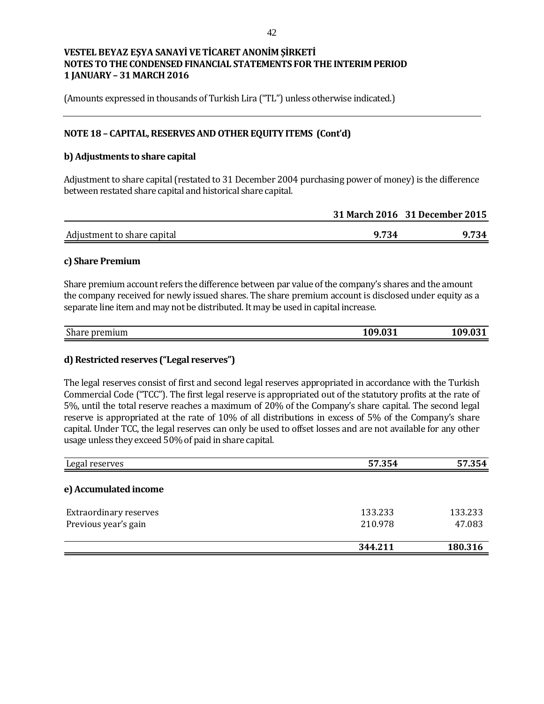(Amounts expressed in thousands of Turkish Lira ("TL") unless otherwise indicated.)

### **NOTE 18 – CAPITAL, RESERVES AND OTHER EQUITY ITEMS (Cont'd)**

### **b) Adjustments to share capital**

Adjustment to share capital (restated to 31 December 2004 purchasing power of money) is the difference between restated share capital and historical share capital.

|                             |       | 31 March 2016 31 December 2015 |
|-----------------------------|-------|--------------------------------|
| Adjustment to share capital | 9.734 | 9.734                          |

### **c) Share Premium**

Share premium account refers the difference between par value of the company's shares and the amount the company received for newly issued shares. The share premium account is disclosed under equity as a separate line item and may not be distributed. It may be used in capital increase.

| $\mathbf{C}$<br>premium<br>share | 109.031 | ΛQ<br>. CO<br>$100 +$<br>1 V J |
|----------------------------------|---------|--------------------------------|
|                                  |         |                                |

### **d) Restricted reserves ("Legal reserves")**

The legal reserves consist of first and second legal reserves appropriated in accordance with the Turkish Commercial Code ("TCC"). The first legal reserve is appropriated out of the statutory profits at the rate of 5%, until the total reserve reaches a maximum of 20% of the Company's share capital. The second legal reserve is appropriated at the rate of 10% of all distributions in excess of 5% of the Company's share capital. Under TCC, the legal reserves can only be used to offset losses and are not available for any other usage unless they exceed 50% of paid in share capital.

| Legal reserves                | 57.354  | 57.354  |
|-------------------------------|---------|---------|
| e) Accumulated income         |         |         |
| <b>Extraordinary reserves</b> | 133.233 | 133.233 |
| Previous year's gain          | 210.978 | 47.083  |
|                               | 344.211 | 180.316 |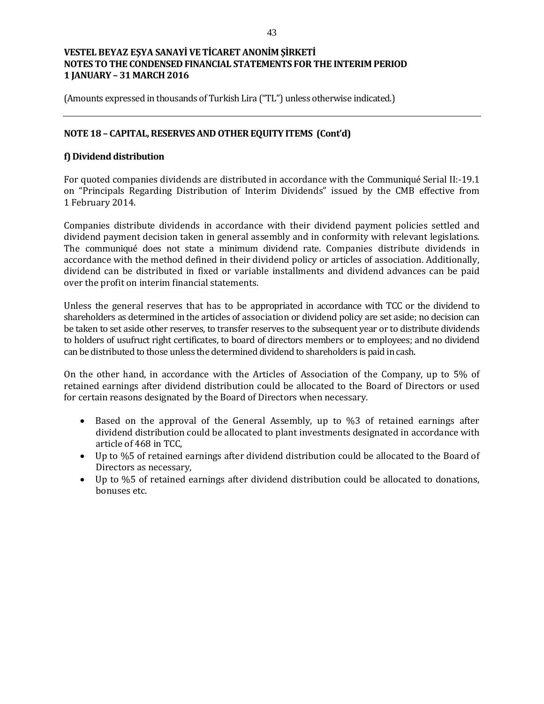(Amounts expressed in thousands of Turkish Lira ("TL") unless otherwise indicated.)

### **NOTE 18 – CAPITAL, RESERVES AND OTHER EQUITY ITEMS (Cont'd)**

### **f) Dividend distribution**

For quoted companies dividends are distributed in accordance with the Communiqué Serial II:-19.1 on "Principals Regarding Distribution of Interim Dividends" issued by the CMB effective from 1 February 2014.

Companies distribute dividends in accordance with their dividend payment policies settled and dividend payment decision taken in general assembly and in conformity with relevant legislations. The communiqué does not state a minimum dividend rate. Companies distribute dividends in accordance with the method defined in their dividend policy or articles of association. Additionally, dividend can be distributed in fixed or variable installments and dividend advances can be paid over the profit on interim financial statements.

Unless the general reserves that has to be appropriated in accordance with TCC or the dividend to shareholders as determined in the articles of association or dividend policy are set aside; no decision can be taken to set aside other reserves, to transfer reserves to the subsequent year or to distribute dividends to holders of usufruct right certificates, to board of directors members or to employees; and no dividend can be distributed to those unless the determined dividend to shareholders is paid in cash.

On the other hand, in accordance with the Articles of Association of the Company, up to 5% of retained earnings after dividend distribution could be allocated to the Board of Directors or used for certain reasons designated by the Board of Directors when necessary.

- Based on the approval of the General Assembly, up to %3 of retained earnings after dividend distribution could be allocated to plant investments designated in accordance with article of 468 in TCC,
- Up to %5 of retained earnings after dividend distribution could be allocated to the Board of Directors as necessary,
- Up to %5 of retained earnings after dividend distribution could be allocated to donations, bonuses etc.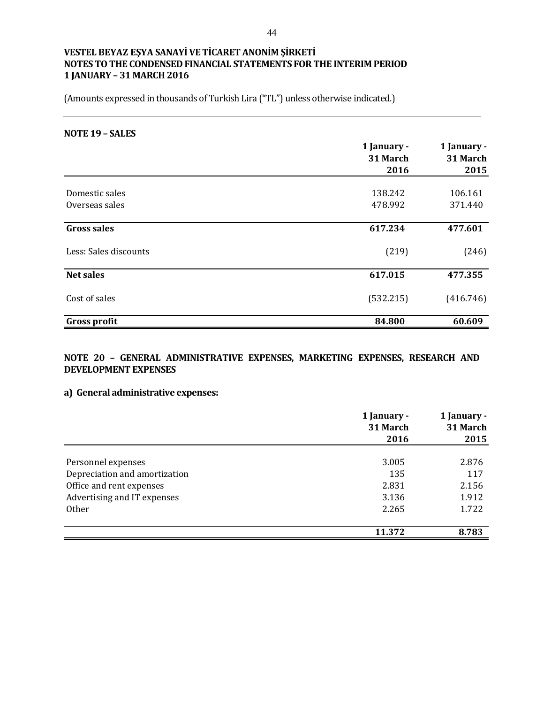(Amounts expressed in thousands of Turkish Lira ("TL") unless otherwise indicated.)

#### **NOTE 19 – SALES**

|                                  | 1 January -<br>31 March<br>2016 | 1 January -<br>31 March<br>2015 |
|----------------------------------|---------------------------------|---------------------------------|
| Domestic sales<br>Overseas sales | 138.242<br>478.992              | 106.161<br>371.440              |
| <b>Gross sales</b>               | 617.234                         | 477.601                         |
| Less: Sales discounts            | (219)                           | (246)                           |
| <b>Net sales</b>                 | 617.015                         | 477.355                         |
| Cost of sales                    | (532.215)                       | (416.746)                       |
| <b>Gross profit</b>              | 84.800                          | 60.609                          |

### **NOTE 20 – GENERAL ADMINISTRATIVE EXPENSES, MARKETING EXPENSES, RESEARCH AND DEVELOPMENT EXPENSES**

### **a) General administrative expenses:**

|                               | 1 January -<br>31 March<br>2016 | 1 January -<br>31 March<br>2015 |
|-------------------------------|---------------------------------|---------------------------------|
|                               |                                 |                                 |
| Personnel expenses            | 3.005                           | 2.876                           |
| Depreciation and amortization | 135                             | 117                             |
| Office and rent expenses      | 2.831                           | 2.156                           |
| Advertising and IT expenses   | 3.136                           | 1.912                           |
| <b>Other</b>                  | 2.265                           | 1.722                           |
|                               | 11.372                          | 8.783                           |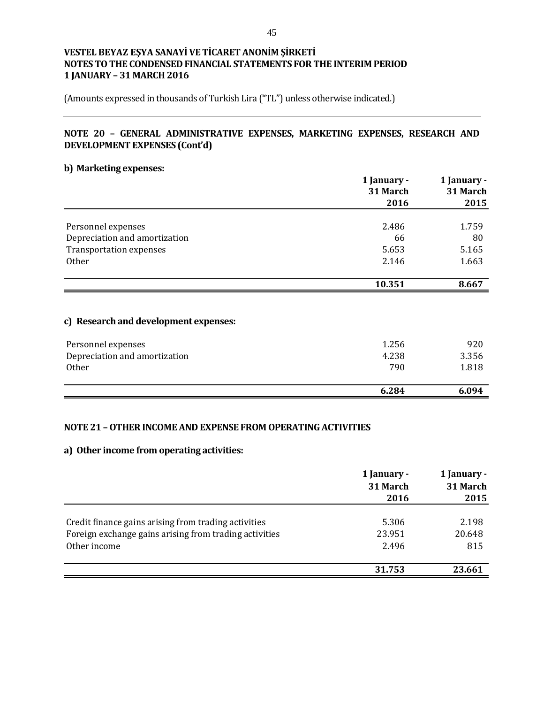(Amounts expressed in thousands of Turkish Lira ("TL") unless otherwise indicated.)

# **NOTE 20 – GENERAL ADMINISTRATIVE EXPENSES, MARKETING EXPENSES, RESEARCH AND DEVELOPMENT EXPENSES (Cont'd)**

### **b) Marketing expenses:**

|          | 1 January -          |
|----------|----------------------|
| 31 March | 31 March             |
| 2016     | 2015                 |
|          | 1.759                |
| 66       | 80                   |
| 5.653    | 5.165                |
| 2.146    | 1.663                |
| 10.351   | 8.667                |
|          |                      |
|          |                      |
| 1.256    | 920                  |
| 4.238    | 3.356                |
| 790      | 1.818                |
| 6.284    | 6.094                |
|          | 1 January -<br>2.486 |

### **NOTE 21 –OTHER INCOME AND EXPENSE FROM OPERATING ACTIVITIES**

### **a) Other income from operating activities:**

|                                                                                                                                | 1 January -<br>31 March<br>2016 | 1 January -<br>31 March<br>2015 |
|--------------------------------------------------------------------------------------------------------------------------------|---------------------------------|---------------------------------|
| Credit finance gains arising from trading activities<br>Foreign exchange gains arising from trading activities<br>Other income | 5.306<br>23.951<br>2.496        | 2.198<br>20.648<br>815          |
|                                                                                                                                | 31.753                          | 23.661                          |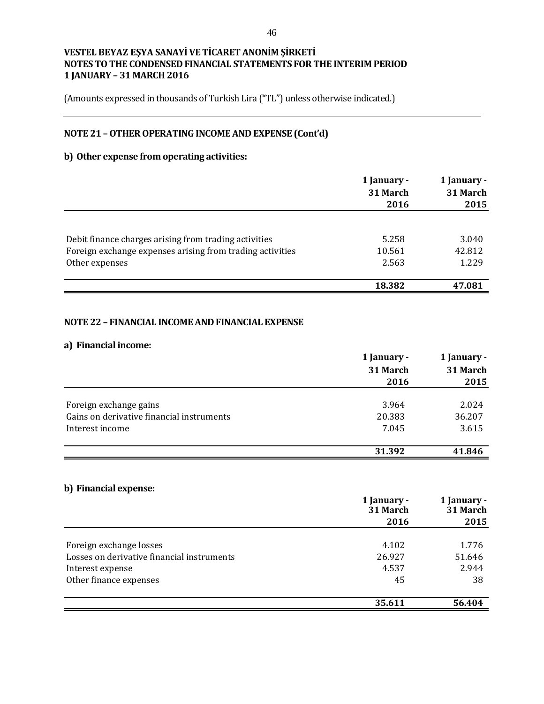(Amounts expressed in thousands of Turkish Lira ("TL") unless otherwise indicated.)

# **NOTE 21 –OTHER OPERATING INCOME AND EXPENSE (Cont'd)**

### **b) Other expense from operating activities:**

|                                                           | 1 January -<br>31 March<br>2016 | 1 January -<br>31 March<br>2015 |
|-----------------------------------------------------------|---------------------------------|---------------------------------|
|                                                           |                                 |                                 |
| Debit finance charges arising from trading activities     | 5.258                           | 3.040                           |
| Foreign exchange expenses arising from trading activities | 10.561                          | 42.812                          |
| Other expenses                                            | 2.563                           | 1.229                           |
|                                                           | 18.382                          | 47.081                          |

### **NOTE 22 – FINANCIAL INCOME AND FINANCIAL EXPENSE**

#### **a) Financial income:**

|                                           | 1 January - | 1 January - |
|-------------------------------------------|-------------|-------------|
|                                           | 31 March    | 31 March    |
|                                           | 2016        | 2015        |
|                                           |             |             |
| Foreign exchange gains                    | 3.964       | 2.024       |
| Gains on derivative financial instruments | 20.383      | 36.207      |
| Interest income                           | 7.045       | 3.615       |
|                                           | 31.392      | 41.846      |

#### **b) Financial expense:**

|        | 2015   |
|--------|--------|
| 4.102  | 1.776  |
| 26.927 | 51.646 |
| 4.537  | 2.944  |
| 45     | 38     |
| 35.611 | 56.404 |
|        | 2016   |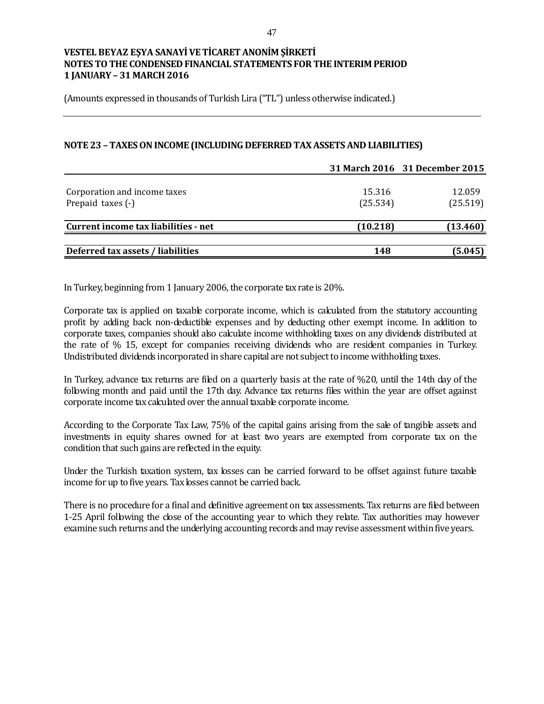(Amounts expressed in thousands of Turkish Lira ("TL") unless otherwise indicated.)

### **NOTE 23 – TAXES ON INCOME (INCLUDING DEFERRED TAX ASSETS AND LIABILITIES)**

|                                      |          | 31 March 2016 31 December 2015 |
|--------------------------------------|----------|--------------------------------|
| Corporation and income taxes         | 15.316   | 12.059                         |
| Prepaid taxes (-)                    | (25.534) | (25.519)                       |
| Current income tax liabilities - net | (10.218) | (13.460)                       |
|                                      |          |                                |
| Deferred tax assets / liabilities    | 148      | (5.045)                        |

In Turkey, beginning from 1 January 2006, the corporate tax rate is 20%.

Corporate tax is applied on taxable corporate income, which is calculated from the statutory accounting profit by adding back non-deductible expenses and by deducting other exempt income. In addition to corporate taxes, companies should also calculate income withholding taxes on any dividends distributed at the rate of % 15, except for companies receiving dividends who are resident companies in Turkey. Undistributed dividends incorporated in share capital are not subject to income withholding taxes.

In Turkey, advance tax returns are filed on a quarterly basis at the rate of %20, until the 14th day of the following month and paid until the 17th day. Advance tax returns files within the year are offset against corporate income tax calculated over the annual taxable corporate income.

According to the Corporate Tax Law, 75% of the capital gains arising from the sale of tangible assets and investments in equity shares owned for at least two years are exempted from corporate tax on the condition that such gains are reflected in the equity.

Under the Turkish taxation system, tax losses can be carried forward to be offset against future taxable income for up to five years. Tax losses cannot be carried back.

There is no procedure for a final and definitive agreement on tax assessments. Tax returns are filed between 1-25 April following the close of the accounting year to which they relate. Tax authorities may however examine such returns and the underlying accounting records and may revise assessment within five years.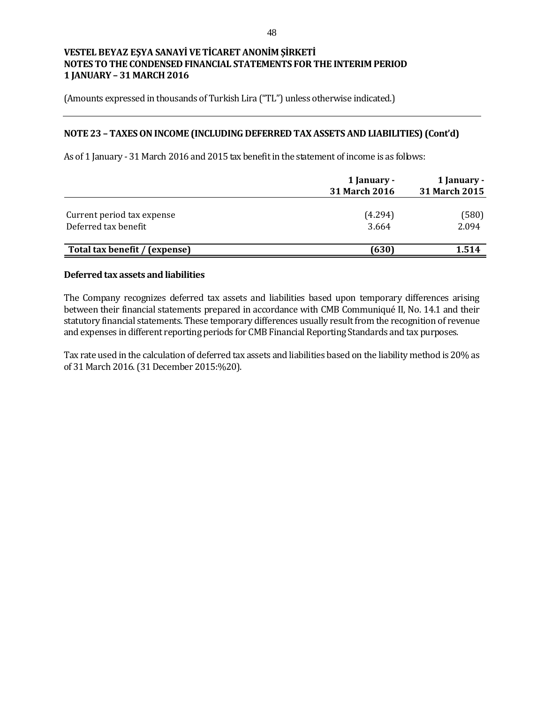(Amounts expressed in thousands of Turkish Lira ("TL") unless otherwise indicated.)

### **NOTE 23 – TAXES ON INCOME (INCLUDING DEFERRED TAX ASSETS AND LIABILITIES) (Cont'd)**

As of 1 January - 31 March 2016 and 2015 tax benefit in the statement of income is as follows:

|                                                    | 1 January -<br><b>31 March 2016</b> | 1 January -<br>31 March 2015 |  |
|----------------------------------------------------|-------------------------------------|------------------------------|--|
| Current period tax expense<br>Deferred tax benefit | (4.294)<br>3.664                    | (580)<br>2.094               |  |
| Total tax benefit / (expense)                      | (630)                               | 1.514                        |  |

### **Deferred tax assets and liabilities**

The Company recognizes deferred tax assets and liabilities based upon temporary differences arising between their financial statements prepared in accordance with CMB Communiqué II, No. 14.1 and their statutory financial statements. These temporary differences usually result from the recognition of revenue and expenses in different reporting periods for CMB Financial Reporting Standards and tax purposes.

Tax rate used in the calculation of deferred tax assets and liabilities based on the liability method is 20% as of 31 March 2016. (31 December 2015:%20).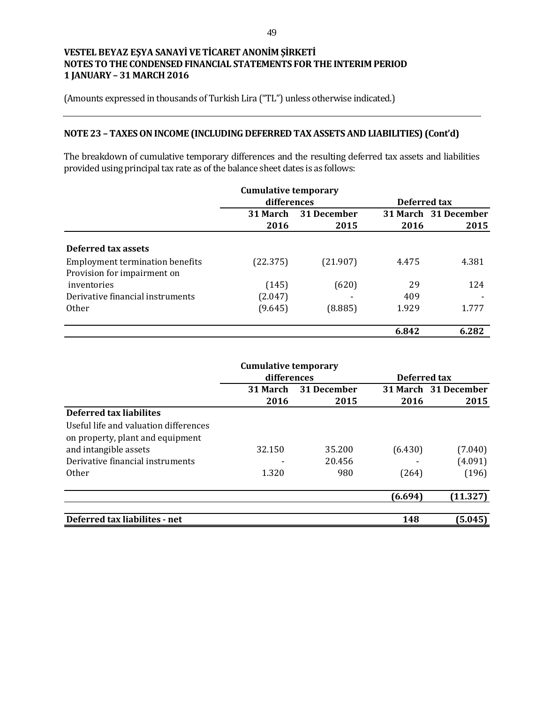(Amounts expressed in thousands of Turkish Lira ("TL") unless otherwise indicated.)

# **NOTE 23 – TAXES ON INCOME (INCLUDING DEFERRED TAX ASSETS AND LIABILITIES) (Cont'd)**

The breakdown of cumulative temporary differences and the resulting deferred tax assets and liabilities provided using principal tax rate as of the balance sheet dates is as follows:

|                                        | <b>Cumulative temporary</b> |             |              |                              |
|----------------------------------------|-----------------------------|-------------|--------------|------------------------------|
|                                        | differences                 |             | Deferred tax |                              |
|                                        | 31 March                    | 31 December |              | 31 March 31 December<br>2015 |
|                                        | 2016                        | 2015        | 2016         |                              |
| Deferred tax assets                    |                             |             |              |                              |
| <b>Employment termination benefits</b> | (22.375)                    | (21.907)    | 4.475        | 4.381                        |
| Provision for impairment on            |                             |             |              |                              |
| inventories                            | (145)                       | (620)       | 29           | 124                          |
| Derivative financial instruments       | (2.047)                     |             | 409          |                              |
| <b>Other</b>                           | (9.645)                     | (8.885)     | 1.929        | 1.777                        |
|                                        |                             |             | 6.842        | 6.282                        |

|                                       | <b>Cumulative temporary</b> |        |              |          |                      |
|---------------------------------------|-----------------------------|--------|--------------|----------|----------------------|
|                                       | differences                 |        | Deferred tax |          |                      |
|                                       | 31 March                    |        | 31 December  |          | 31 March 31 December |
|                                       | 2016                        | 2015   | 2016         | 2015     |                      |
| <b>Deferred tax liabilites</b>        |                             |        |              |          |                      |
| Useful life and valuation differences |                             |        |              |          |                      |
| on property, plant and equipment      |                             |        |              |          |                      |
| and intangible assets                 | 32.150                      | 35.200 | (6.430)      | (7.040)  |                      |
| Derivative financial instruments      |                             | 20.456 |              | (4.091)  |                      |
| 0ther                                 | 1.320                       | 980    | (264)        | (196)    |                      |
|                                       |                             |        | (6.694)      | (11.327) |                      |
|                                       |                             |        |              |          |                      |
| Deferred tax liabilites - net         |                             |        | 148          | (5.045)  |                      |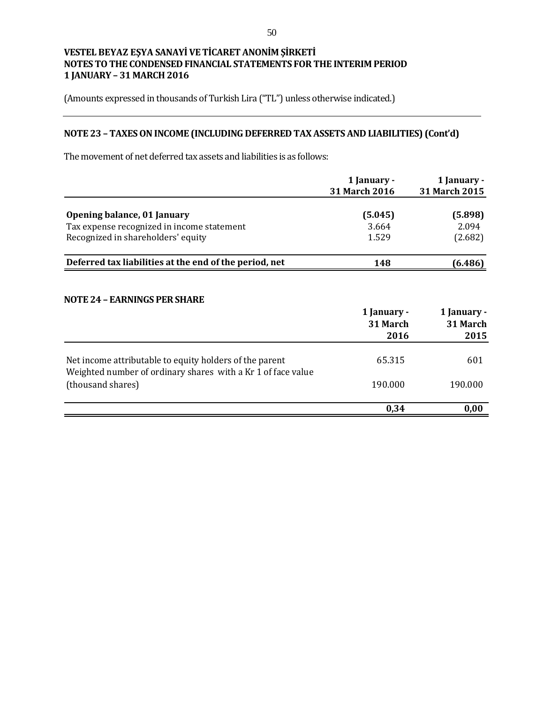(Amounts expressed in thousands of Turkish Lira ("TL") unless otherwise indicated.)

# **NOTE 23 – TAXES ON INCOME (INCLUDING DEFERRED TAX ASSETS AND LIABILITIES) (Cont'd)**

The movement of net deferred tax assets and liabilities is as follows:

| 1 January -<br>31 March 2016 | 1 January -<br>31 March 2015 |  |
|------------------------------|------------------------------|--|
| (5.045)                      | (5.898)                      |  |
| 3.664                        | 2.094                        |  |
| 1.529                        | (2.682)                      |  |
| 148                          | (6.486)                      |  |
|                              |                              |  |

### **NOTE 24 – EARNINGS PER SHARE**

|                                                                                                                         | 1 January -<br>31 March | 1 January -<br>31 March |  |
|-------------------------------------------------------------------------------------------------------------------------|-------------------------|-------------------------|--|
|                                                                                                                         | 2016                    | 2015                    |  |
| Net income attributable to equity holders of the parent<br>Weighted number of ordinary shares with a Kr 1 of face value | 65.315                  | 601                     |  |
| (thousand shares)                                                                                                       | 190.000                 | 190.000                 |  |
|                                                                                                                         |                         |                         |  |
|                                                                                                                         | 0,34                    | 0,00                    |  |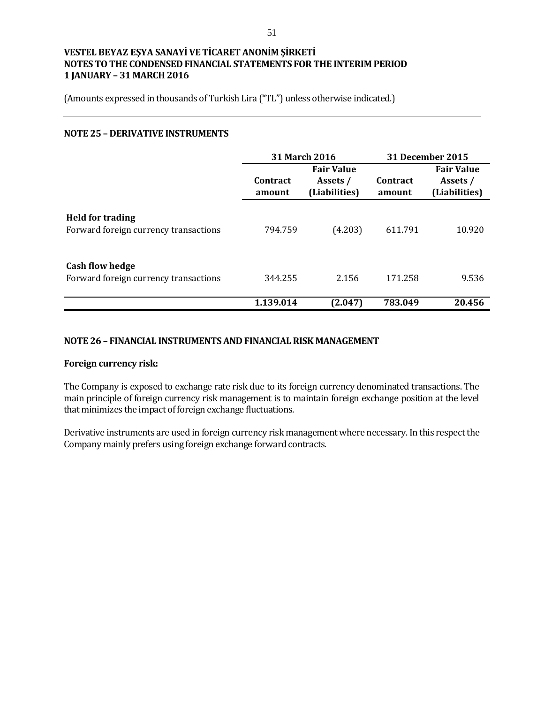(Amounts expressed in thousands of Turkish Lira ("TL") unless otherwise indicated.)

### **NOTE 25 – DERIVATIVE INSTRUMENTS**

|                                                                  | 31 March 2016             |                                                |                    | <b>31 December 2015</b>                        |
|------------------------------------------------------------------|---------------------------|------------------------------------------------|--------------------|------------------------------------------------|
|                                                                  | <b>Contract</b><br>amount | <b>Fair Value</b><br>Assets /<br>(Liabilities) | Contract<br>amount | <b>Fair Value</b><br>Assets /<br>(Liabilities) |
| <b>Held for trading</b><br>Forward foreign currency transactions | 794.759                   | (4.203)                                        | 611.791            | 10.920                                         |
| Cash flow hedge<br>Forward foreign currency transactions         | 344.255                   | 2.156                                          | 171.258            | 9.536                                          |
|                                                                  | 1.139.014                 | (2.047)                                        | 783.049            | 20.456                                         |

### **NOTE 26 – FINANCIAL INSTRUMENTS AND FINANCIAL RISK MANAGEMENT**

#### **Foreign currency risk:**

The Company is exposed to exchange rate risk due to its foreign currency denominated transactions. The main principle of foreign currency risk management is to maintain foreign exchange position at the level that minimizes the impact of foreign exchange fluctuations.

Derivative instruments are used in foreign currency risk management where necessary. In this respect the Company mainly prefers using foreign exchange forward contracts.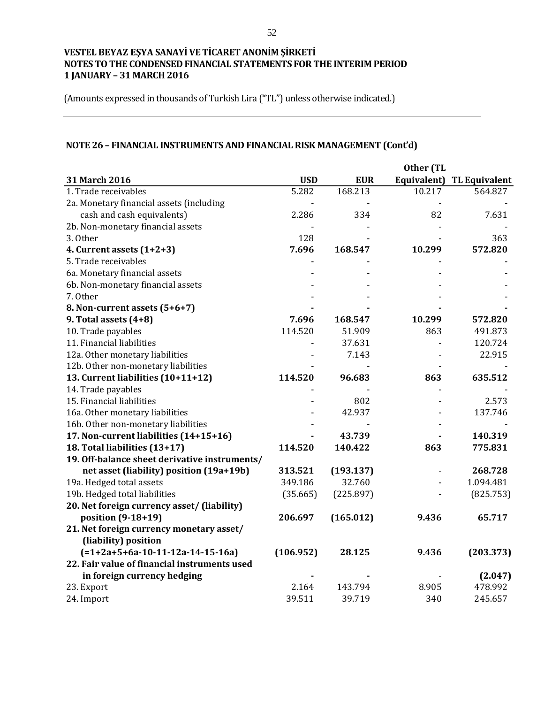(Amounts expressed in thousands of Turkish Lira ("TL") unless otherwise indicated.)

# **NOTE 26 – FINANCIAL INSTRUMENTS AND FINANCIAL RISK MANAGEMENT (Cont'd)**

|                                               |            |            | Other (TL |                           |
|-----------------------------------------------|------------|------------|-----------|---------------------------|
| 31 March 2016                                 | <b>USD</b> | <b>EUR</b> |           | Equivalent) TL Equivalent |
| 1. Trade receivables                          | 5.282      | 168.213    | 10.217    | 564.827                   |
| 2a. Monetary financial assets (including      |            |            |           |                           |
| cash and cash equivalents)                    | 2.286      | 334        | 82        | 7.631                     |
| 2b. Non-monetary financial assets             |            |            |           |                           |
| 3. Other                                      | 128        |            |           | 363                       |
| 4. Current assets (1+2+3)                     | 7.696      | 168.547    | 10.299    | 572.820                   |
| 5. Trade receivables                          |            |            |           |                           |
| 6a. Monetary financial assets                 |            |            |           |                           |
| 6b. Non-monetary financial assets             |            |            |           |                           |
| 7. Other                                      |            |            |           |                           |
| 8. Non-current assets (5+6+7)                 |            |            |           |                           |
| 9. Total assets $(4+8)$                       | 7.696      | 168.547    | 10.299    | 572.820                   |
| 10. Trade payables                            | 114.520    | 51.909     | 863       | 491.873                   |
| 11. Financial liabilities                     |            | 37.631     |           | 120.724                   |
| 12a. Other monetary liabilities               |            | 7.143      |           | 22.915                    |
| 12b. Other non-monetary liabilities           |            |            |           |                           |
| 13. Current liabilities (10+11+12)            | 114.520    | 96.683     | 863       | 635.512                   |
| 14. Trade payables                            |            |            |           |                           |
| 15. Financial liabilities                     |            | 802        |           | 2.573                     |
| 16a. Other monetary liabilities               |            | 42.937     |           | 137.746                   |
| 16b. Other non-monetary liabilities           |            |            |           |                           |
| 17. Non-current liabilities (14+15+16)        |            | 43.739     |           | 140.319                   |
| 18. Total liabilities (13+17)                 | 114.520    | 140.422    | 863       | 775.831                   |
| 19. Off-balance sheet derivative instruments/ |            |            |           |                           |
| net asset (liability) position (19a+19b)      | 313.521    | (193.137)  |           | 268.728                   |
| 19a. Hedged total assets                      | 349.186    | 32.760     |           | 1.094.481                 |
| 19b. Hedged total liabilities                 | (35.665)   | (225.897)  |           | (825.753)                 |
| 20. Net foreign currency asset/ (liability)   |            |            |           |                           |
| position (9-18+19)                            | 206.697    | (165.012)  | 9.436     | 65.717                    |
| 21. Net foreign currency monetary asset/      |            |            |           |                           |
| (liability) position                          |            |            |           |                           |
| $(=1+2a+5+6a-10-11-12a-14-15-16a)$            | (106.952)  | 28.125     | 9.436     | (203.373)                 |
| 22. Fair value of financial instruments used  |            |            |           |                           |
| in foreign currency hedging                   |            |            |           | (2.047)                   |
| 23. Export                                    | 2.164      | 143.794    | 8.905     | 478.992                   |
| 24. Import                                    | 39.511     | 39.719     | 340       | 245.657                   |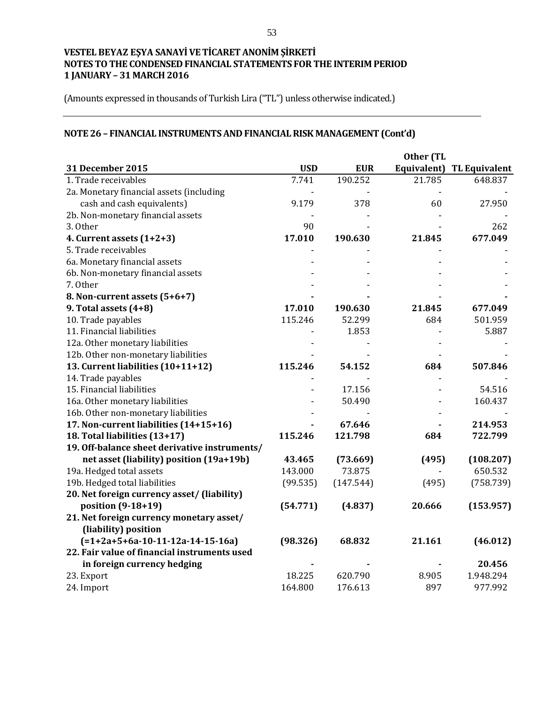(Amounts expressed in thousands of Turkish Lira ("TL") unless otherwise indicated.)

# **NOTE 26 – FINANCIAL INSTRUMENTS AND FINANCIAL RISK MANAGEMENT (Cont'd)**

|                                               | Other (TL  |            |             |                      |  |  |
|-----------------------------------------------|------------|------------|-------------|----------------------|--|--|
| <b>31 December 2015</b>                       | <b>USD</b> | <b>EUR</b> | Equivalent) | <b>TL Equivalent</b> |  |  |
| 1. Trade receivables                          | 7.741      | 190.252    | 21.785      | 648.837              |  |  |
| 2a. Monetary financial assets (including      |            |            |             |                      |  |  |
| cash and cash equivalents)                    | 9.179      | 378        | 60          | 27.950               |  |  |
| 2b. Non-monetary financial assets             |            |            |             |                      |  |  |
| 3. Other                                      | 90         |            |             | 262                  |  |  |
| 4. Current assets (1+2+3)                     | 17.010     | 190.630    | 21.845      | 677.049              |  |  |
| 5. Trade receivables                          |            |            |             |                      |  |  |
| 6a. Monetary financial assets                 |            |            |             |                      |  |  |
| 6b. Non-monetary financial assets             |            |            |             |                      |  |  |
| 7. Other                                      |            |            |             |                      |  |  |
| 8. Non-current assets (5+6+7)                 |            |            |             |                      |  |  |
| 9. Total assets $(4+8)$                       | 17.010     | 190.630    | 21.845      | 677.049              |  |  |
| 10. Trade payables                            | 115.246    | 52.299     | 684         | 501.959              |  |  |
| 11. Financial liabilities                     |            | 1.853      |             | 5.887                |  |  |
| 12a. Other monetary liabilities               |            |            |             |                      |  |  |
| 12b. Other non-monetary liabilities           |            |            |             |                      |  |  |
| 13. Current liabilities (10+11+12)            | 115.246    | 54.152     | 684         | 507.846              |  |  |
| 14. Trade payables                            |            |            |             |                      |  |  |
| 15. Financial liabilities                     |            | 17.156     |             | 54.516               |  |  |
| 16a. Other monetary liabilities               |            | 50.490     |             | 160.437              |  |  |
| 16b. Other non-monetary liabilities           |            |            |             |                      |  |  |
| 17. Non-current liabilities (14+15+16)        |            | 67.646     |             | 214.953              |  |  |
| 18. Total liabilities (13+17)                 | 115.246    | 121.798    | 684         | 722.799              |  |  |
| 19. Off-balance sheet derivative instruments/ |            |            |             |                      |  |  |
| net asset (liability) position (19a+19b)      | 43.465     | (73.669)   | (495)       | (108.207)            |  |  |
| 19a. Hedged total assets                      | 143.000    | 73.875     |             | 650.532              |  |  |
| 19b. Hedged total liabilities                 | (99.535)   | (147.544)  | (495)       | (758.739)            |  |  |
| 20. Net foreign currency asset/ (liability)   |            |            |             |                      |  |  |
| position (9-18+19)                            | (54.771)   | (4.837)    | 20.666      | (153.957)            |  |  |
| 21. Net foreign currency monetary asset/      |            |            |             |                      |  |  |
| (liability) position                          |            |            |             |                      |  |  |
| $(=1+2a+5+6a-10-11-12a-14-15-16a)$            | (98.326)   | 68.832     | 21.161      | (46.012)             |  |  |
| 22. Fair value of financial instruments used  |            |            |             |                      |  |  |
| in foreign currency hedging                   |            |            |             | 20.456               |  |  |
| 23. Export                                    | 18.225     | 620.790    | 8.905       | 1.948.294            |  |  |
| 24. Import                                    | 164.800    | 176.613    | 897         | 977.992              |  |  |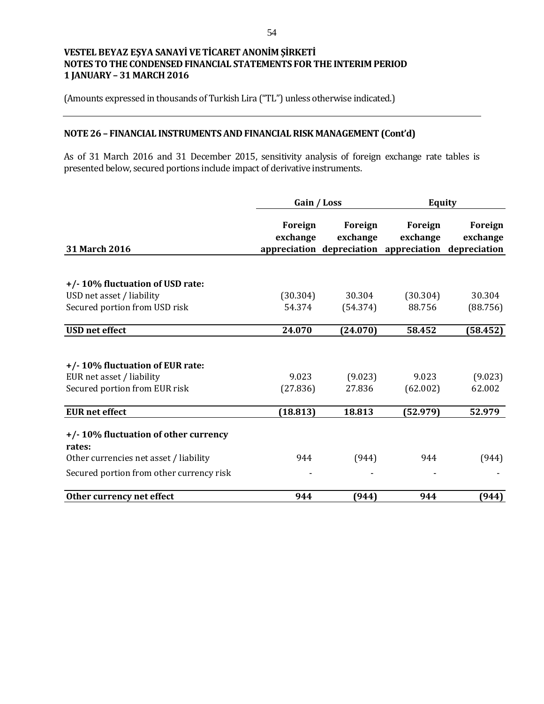(Amounts expressed in thousands of Turkish Lira ("TL") unless otherwise indicated.)

## **NOTE 26 – FINANCIAL INSTRUMENTS AND FINANCIAL RISK MANAGEMENT (Cont'd)**

As of 31 March 2016 and 31 December 2015, sensitivity analysis of foreign exchange rate tables is presented below, secured portions include impact of derivative instruments.

| Gain / Loss                                                                                   |                     |                     | <b>Equity</b>                                                              |                     |  |
|-----------------------------------------------------------------------------------------------|---------------------|---------------------|----------------------------------------------------------------------------|---------------------|--|
| 31 March 2016                                                                                 | Foreign<br>exchange | Foreign<br>exchange | Foreign<br>exchange<br>appreciation depreciation appreciation depreciation | Foreign<br>exchange |  |
|                                                                                               |                     |                     |                                                                            |                     |  |
| +/-10% fluctuation of USD rate:                                                               |                     |                     |                                                                            |                     |  |
| USD net asset / liability                                                                     | (30.304)            | 30.304              | (30.304)                                                                   | 30.304              |  |
| Secured portion from USD risk                                                                 | 54.374              | (54.374)            | 88.756                                                                     | (88.756)            |  |
| <b>USD</b> net effect                                                                         | 24.070              | (24.070)            | 58.452                                                                     | (58.452)            |  |
| +/-10% fluctuation of EUR rate:<br>EUR net asset / liability<br>Secured portion from EUR risk | 9.023<br>(27.836)   | (9.023)<br>27.836   | 9.023<br>(62.002)                                                          | (9.023)<br>62.002   |  |
| <b>EUR</b> net effect                                                                         | (18.813)            | 18.813              | (52.979)                                                                   | 52.979              |  |
|                                                                                               |                     |                     |                                                                            |                     |  |
| +/-10% fluctuation of other currency<br>rates:                                                |                     |                     |                                                                            |                     |  |
| Other currencies net asset / liability                                                        | 944                 | (944)               | 944                                                                        | (944)               |  |
| Secured portion from other currency risk                                                      |                     |                     |                                                                            |                     |  |
| Other currency net effect                                                                     | 944                 | (944)               | 944                                                                        | (944)               |  |